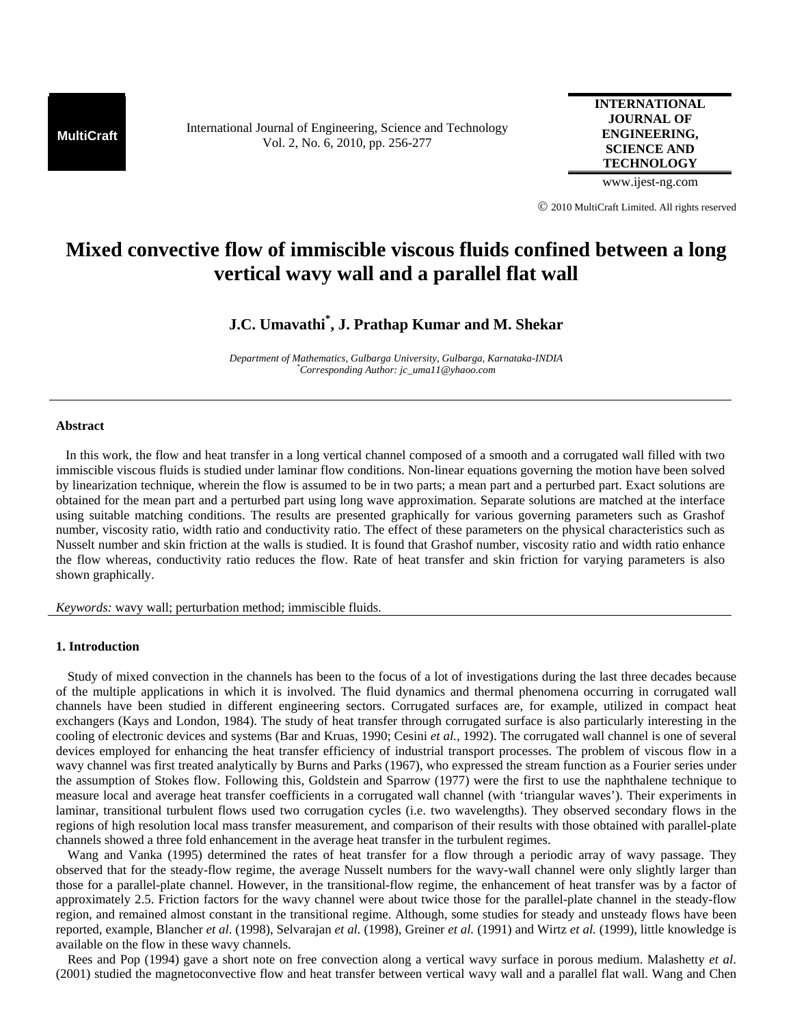**MultiCraft** International Journal of Engineering, Science and Technology Vol. 2, No. 6, 2010, pp. 256-277

**INTERNATIONAL JOURNAL OF ENGINEERING, SCIENCE AND TECHNOLOGY**

www.ijest-ng.com

© 2010 MultiCraft Limited. All rights reserved

# **Mixed convective flow of immiscible viscous fluids confined between a long vertical wavy wall and a parallel flat wall**

## **J.C. Umavathi\* , J. Prathap Kumar and M. Shekar**

*Department of Mathematics, Gulbarga University, Gulbarga, Karnataka-INDIA \* Corresponding Author: jc\_uma11@yhaoo.com* 

### **Abstract**

 In this work, the flow and heat transfer in a long vertical channel composed of a smooth and a corrugated wall filled with two immiscible viscous fluids is studied under laminar flow conditions. Non-linear equations governing the motion have been solved by linearization technique, wherein the flow is assumed to be in two parts; a mean part and a perturbed part. Exact solutions are obtained for the mean part and a perturbed part using long wave approximation. Separate solutions are matched at the interface using suitable matching conditions. The results are presented graphically for various governing parameters such as Grashof number, viscosity ratio, width ratio and conductivity ratio. The effect of these parameters on the physical characteristics such as Nusselt number and skin friction at the walls is studied. It is found that Grashof number, viscosity ratio and width ratio enhance the flow whereas, conductivity ratio reduces the flow. Rate of heat transfer and skin friction for varying parameters is also shown graphically.

*Keywords:* wavy wall; perturbation method; immiscible fluids.

## **1. Introduction**

Study of mixed convection in the channels has been to the focus of a lot of investigations during the last three decades because of the multiple applications in which it is involved. The fluid dynamics and thermal phenomena occurring in corrugated wall channels have been studied in different engineering sectors. Corrugated surfaces are, for example, utilized in compact heat exchangers (Kays and London, 1984). The study of heat transfer through corrugated surface is also particularly interesting in the cooling of electronic devices and systems (Bar and Kruas, 1990; Cesini *et al.,* 1992). The corrugated wall channel is one of several devices employed for enhancing the heat transfer efficiency of industrial transport processes. The problem of viscous flow in a wavy channel was first treated analytically by Burns and Parks (1967), who expressed the stream function as a Fourier series under the assumption of Stokes flow. Following this, Goldstein and Sparrow (1977) were the first to use the naphthalene technique to measure local and average heat transfer coefficients in a corrugated wall channel (with 'triangular waves'). Their experiments in laminar, transitional turbulent flows used two corrugation cycles (i.e. two wavelengths). They observed secondary flows in the regions of high resolution local mass transfer measurement, and comparison of their results with those obtained with parallel-plate channels showed a three fold enhancement in the average heat transfer in the turbulent regimes.

Wang and Vanka (1995) determined the rates of heat transfer for a flow through a periodic array of wavy passage. They observed that for the steady-flow regime, the average Nusselt numbers for the wavy-wall channel were only slightly larger than those for a parallel-plate channel. However, in the transitional-flow regime, the enhancement of heat transfer was by a factor of approximately 2.5. Friction factors for the wavy channel were about twice those for the parallel-plate channel in the steady-flow region, and remained almost constant in the transitional regime. Although, some studies for steady and unsteady flows have been reported, example, Blancher *et al*. (1998), Selvarajan *et al.* (1998), Greiner *et al.* (1991) and Wirtz *et al.* (1999), little knowledge is available on the flow in these wavy channels.

Rees and Pop (1994) gave a short note on free convection along a vertical wavy surface in porous medium. Malashetty *et al*. (2001) studied the magnetoconvective flow and heat transfer between vertical wavy wall and a parallel flat wall. Wang and Chen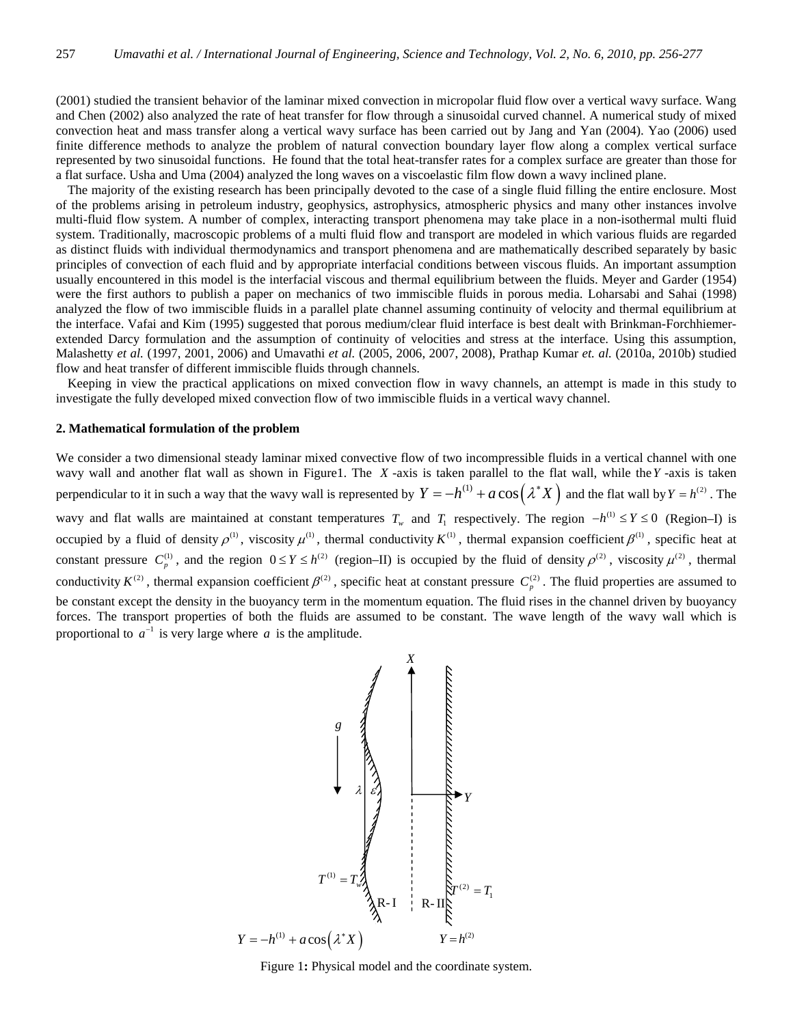(2001) studied the transient behavior of the laminar mixed convection in micropolar fluid flow over a vertical wavy surface. Wang and Chen (2002) also analyzed the rate of heat transfer for flow through a sinusoidal curved channel. A numerical study of mixed convection heat and mass transfer along a vertical wavy surface has been carried out by Jang and Yan (2004). Yao (2006) used finite difference methods to analyze the problem of natural convection boundary layer flow along a complex vertical surface represented by two sinusoidal functions. He found that the total heat-transfer rates for a complex surface are greater than those for a flat surface. Usha and Uma (2004) analyzed the long waves on a viscoelastic film flow down a wavy inclined plane.

The majority of the existing research has been principally devoted to the case of a single fluid filling the entire enclosure. Most of the problems arising in petroleum industry, geophysics, astrophysics, atmospheric physics and many other instances involve multi-fluid flow system. A number of complex, interacting transport phenomena may take place in a non-isothermal multi fluid system. Traditionally, macroscopic problems of a multi fluid flow and transport are modeled in which various fluids are regarded as distinct fluids with individual thermodynamics and transport phenomena and are mathematically described separately by basic principles of convection of each fluid and by appropriate interfacial conditions between viscous fluids. An important assumption usually encountered in this model is the interfacial viscous and thermal equilibrium between the fluids. Meyer and Garder (1954) were the first authors to publish a paper on mechanics of two immiscible fluids in porous media. Loharsabi and Sahai (1998) analyzed the flow of two immiscible fluids in a parallel plate channel assuming continuity of velocity and thermal equilibrium at the interface. Vafai and Kim (1995) suggested that porous medium/clear fluid interface is best dealt with Brinkman-Forchhiemerextended Darcy formulation and the assumption of continuity of velocities and stress at the interface. Using this assumption, Malashetty *et al.* (1997, 2001, 2006) and Umavathi *et al.* (2005, 2006, 2007, 2008), Prathap Kumar *et. al.* (2010a, 2010b) studied flow and heat transfer of different immiscible fluids through channels.

Keeping in view the practical applications on mixed convection flow in wavy channels, an attempt is made in this study to investigate the fully developed mixed convection flow of two immiscible fluids in a vertical wavy channel.

#### **2. Mathematical formulation of the problem**

We consider a two dimensional steady laminar mixed convective flow of two incompressible fluids in a vertical channel with one wavy wall and another flat wall as shown in Figure1. The *X* -axis is taken parallel to the flat wall, while the*Y* -axis is taken perpendicular to it in such a way that the wavy wall is represented by  $Y = -h^{(1)} + a \cos(\lambda^* X)$  and the flat wall by  $Y = h^{(2)}$ . The wavy and flat walls are maintained at constant temperatures  $T_w$  and  $T_1$  respectively. The region  $-h^{(1)} \le Y \le 0$  (Region–I) is occupied by a fluid of density  $\rho^{(1)}$ , viscosity  $\mu^{(1)}$ , thermal conductivity  $K^{(1)}$ , thermal expansion coefficient  $\beta^{(1)}$ , specific heat at constant pressure  $C_p^{(1)}$ , and the region  $0 \le Y \le h^{(2)}$  (region–II) is occupied by the fluid of density  $\rho^{(2)}$ , viscosity  $\mu^{(2)}$ , thermal conductivity  $K^{(2)}$ , thermal expansion coefficient  $\beta^{(2)}$ , specific heat at constant pressure  $C_p^{(2)}$ . The fluid properties are assumed to be constant except the density in the buoyancy term in the momentum equation. The fluid rises in the channel driven by buoyancy forces. The transport properties of both the fluids are assumed to be constant. The wave length of the wavy wall which is proportional to  $a^{-1}$  is very large where *a* is the amplitude.



Figure 1**:** Physical model and the coordinate system.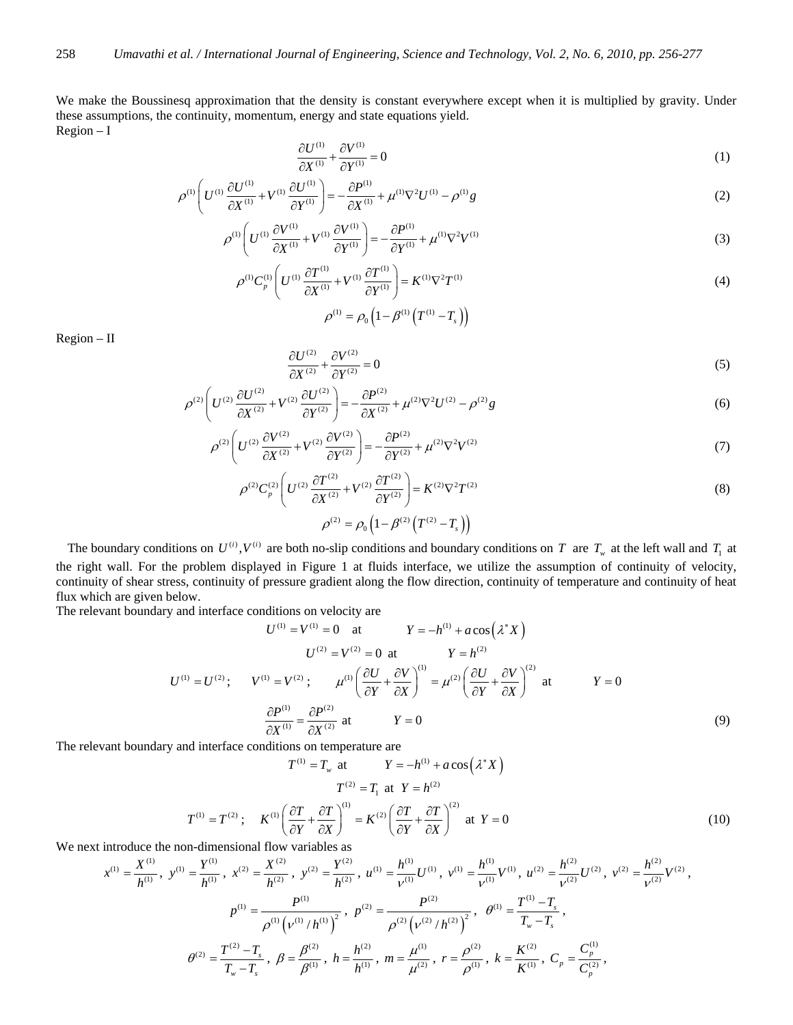We make the Boussinesq approximation that the density is constant everywhere except when it is multiplied by gravity. Under these assumptions, the continuity, momentum, energy and state equations yield. Region – I

$$
\frac{\partial U^{(1)}}{\partial X^{(1)}} + \frac{\partial V^{(1)}}{\partial Y^{(1)}} = 0\tag{1}
$$

$$
\rho^{(1)}\left(U^{(1)}\frac{\partial U^{(1)}}{\partial X^{(1)}} + V^{(1)}\frac{\partial U^{(1)}}{\partial Y^{(1)}}\right) = -\frac{\partial P^{(1)}}{\partial X^{(1)}} + \mu^{(1)}\nabla^2 U^{(1)} - \rho^{(1)}g\tag{2}
$$

$$
\rho^{(1)}\left(U^{(1)}\frac{\partial V^{(1)}}{\partial X^{(1)}} + V^{(1)}\frac{\partial V^{(1)}}{\partial Y^{(1)}}\right) = -\frac{\partial P^{(1)}}{\partial Y^{(1)}} + \mu^{(1)}\nabla^2 V^{(1)}\tag{3}
$$

$$
\rho^{(1)}C_{p}^{(1)}\left(U^{(1)}\frac{\partial T^{(1)}}{\partial X^{(1)}}+V^{(1)}\frac{\partial T^{(1)}}{\partial Y^{(1)}}\right)=K^{(1)}\nabla^{2}T^{(1)}\tag{4}
$$

$$
\rho^{(1)} = \rho_0 \left( 1 - \beta^{(1)} \left( T^{(1)} - T_s \right) \right)
$$

Region – II

$$
\frac{\partial U^{(2)}}{\partial X^{(2)}} + \frac{\partial V^{(2)}}{\partial Y^{(2)}} = 0
$$
\n<sup>(5)</sup>

$$
\rho^{(2)}\left(U^{(2)}\frac{\partial U^{(2)}}{\partial X^{(2)}} + V^{(2)}\frac{\partial U^{(2)}}{\partial Y^{(2)}}\right) = -\frac{\partial P^{(2)}}{\partial X^{(2)}} + \mu^{(2)}\nabla^2 U^{(2)} - \rho^{(2)}g\tag{6}
$$

$$
\rho^{(2)}\left(U^{(2)}\frac{\partial V^{(2)}}{\partial X^{(2)}} + V^{(2)}\frac{\partial V^{(2)}}{\partial Y^{(2)}}\right) = -\frac{\partial P^{(2)}}{\partial Y^{(2)}} + \mu^{(2)}\nabla^2 V^{(2)}\tag{7}
$$

$$
\rho^{(2)}C_p^{(2)}\left(U^{(2)}\frac{\partial T^{(2)}}{\partial X^{(2)}} + V^{(2)}\frac{\partial T^{(2)}}{\partial Y^{(2)}}\right) = K^{(2)}\nabla^2 T^{(2)}
$$
\n(8)

$$
\rho^{(2)} = \rho_0 \left( 1 - \beta^{(2)} \left( T^{(2)} - T_s \right) \right)
$$

The boundary conditions on  $U^{(i)}$ ,  $V^{(i)}$  are both no-slip conditions and boundary conditions on *T* are  $T_w$  at the left wall and  $T_1$  at the right wall. For the problem displayed in Figure 1 at fluids interface, we utilize the assumption of continuity of velocity, continuity of shear stress, continuity of pressure gradient along the flow direction, continuity of temperature and continuity of heat flux which are given below.

The relevant boundary and interface conditions on velocity are

$$
U^{(1)} = V^{(1)} = 0 \quad \text{at} \qquad Y = -h^{(1)} + a \cos(\lambda^* X)
$$
  

$$
U^{(2)} = V^{(2)} = 0 \quad \text{at} \qquad Y = h^{(2)}
$$
  

$$
U^{(1)} = U^{(2)}; \qquad V^{(1)} = V^{(2)}; \qquad \mu^{(1)} \left(\frac{\partial U}{\partial Y} + \frac{\partial V}{\partial X}\right)^{(1)} = \mu^{(2)} \left(\frac{\partial U}{\partial Y} + \frac{\partial V}{\partial X}\right)^{(2)} \quad \text{at} \qquad Y = 0
$$
  

$$
\frac{\partial P^{(1)}}{\partial X^{(1)}} = \frac{\partial P^{(2)}}{\partial X^{(2)}} \quad \text{at} \qquad Y = 0 \tag{9}
$$

The relevant boundary and interface conditions on temperature are

$$
T^{(1)} = T_w \text{ at } Y = -h^{(1)} + a \cos(\lambda^* X)
$$

$$
T^{(2)} = T_1 \text{ at } Y = h^{(2)}
$$

$$
T^{(1)} = T^{(2)}; \quad K^{(1)} \left(\frac{\partial T}{\partial Y} + \frac{\partial T}{\partial X}\right)^{(1)} = K^{(2)} \left(\frac{\partial T}{\partial Y} + \frac{\partial T}{\partial X}\right)^{(2)} \text{ at } Y = 0
$$
(10)

We next introduce the non-dimensional flow variables as

$$
x^{(1)} = \frac{X^{(1)}}{h^{(1)}}, y^{(1)} = \frac{Y^{(1)}}{h^{(1)}}, x^{(2)} = \frac{X^{(2)}}{h^{(2)}}, y^{(2)} = \frac{Y^{(2)}}{h^{(2)}}, u^{(1)} = \frac{h^{(1)}}{\nu^{(1)}} U^{(1)}, v^{(1)} = \frac{h^{(1)}}{\nu^{(1)}} V^{(1)}, u^{(2)} = \frac{h^{(2)}}{\nu^{(2)}} U^{(2)}, v^{(2)} = \frac{h^{(2)}}{\nu^{(2)}} V^{(2)},
$$
  

$$
p^{(1)} = \frac{P^{(1)}}{\rho^{(1)} (\nu^{(1)}/h^{(1)})^2}, p^{(2)} = \frac{P^{(2)}}{\rho^{(2)} (\nu^{(2)}/h^{(2)})^2}, \theta^{(1)} = \frac{T^{(1)} - T_s}{T_w - T_s},
$$
  

$$
\theta^{(2)} = \frac{T^{(2)} - T_s}{T_w - T_s}, \beta = \frac{\beta^{(2)}}{\beta^{(1)}}, h = \frac{h^{(2)}}{h^{(1)}}, m = \frac{\mu^{(1)}}{\mu^{(2)}}, r = \frac{\rho^{(2)}}{\rho^{(1)}}, k = \frac{K^{(2)}}{K^{(1)}}, C_p = \frac{C_p^{(1)}}{C_p^{(2)}},
$$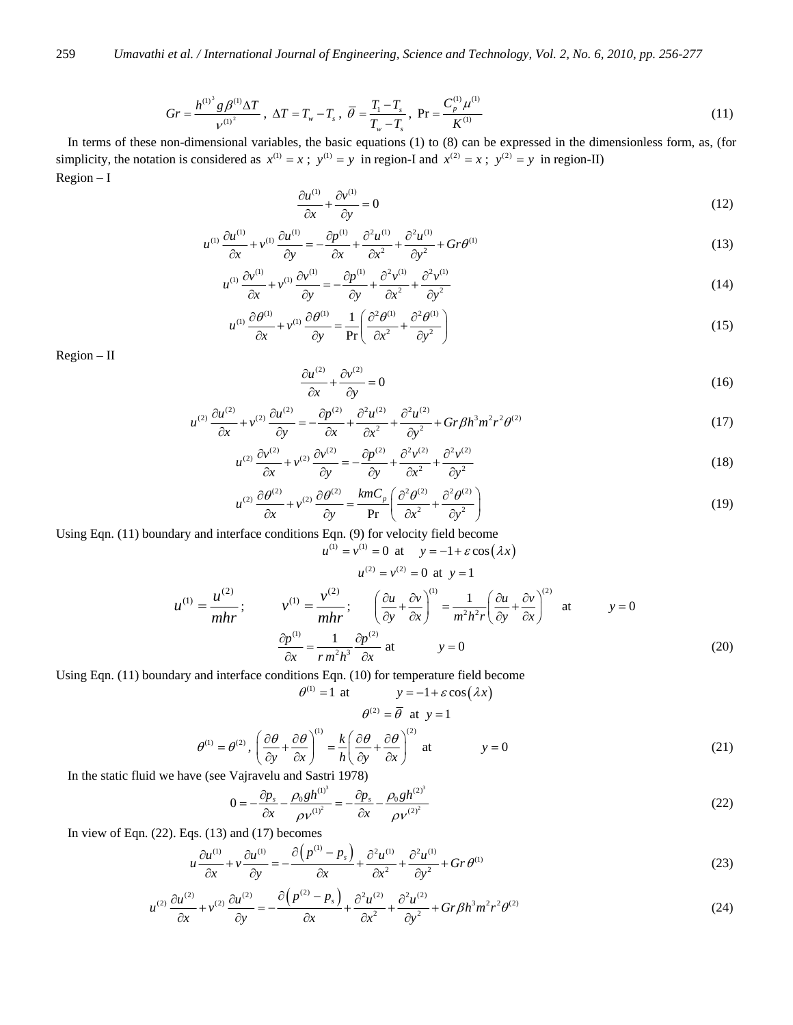$$
Gr = \frac{h^{(1)^3} g \beta^{(1)} \Delta T}{\nu^{(1)^2}}, \ \Delta T = T_w - T_s \ , \ \overline{\theta} = \frac{T_1 - T_s}{T_w - T_s}, \ \text{Pr} = \frac{C_p^{(1)} \mu^{(1)}}{K^{(1)}} \tag{11}
$$

In terms of these non-dimensional variables, the basic equations (1) to (8) can be expressed in the dimensionless form, as, (for simplicity, the notation is considered as  $x^{(1)} = x$ ;  $y^{(1)} = y$  in region-I and  $x^{(2)} = x$ ;  $y^{(2)} = y$  in region-II) Region – I

$$
\frac{\partial u^{(1)}}{\partial x} + \frac{\partial v^{(1)}}{\partial y} = 0\tag{12}
$$

$$
u^{(1)}\frac{\partial u^{(1)}}{\partial x} + v^{(1)}\frac{\partial u^{(1)}}{\partial y} = -\frac{\partial p^{(1)}}{\partial x} + \frac{\partial^2 u^{(1)}}{\partial x^2} + \frac{\partial^2 u^{(1)}}{\partial y^2} + Gr\theta^{(1)}
$$
(13)

$$
u^{(1)}\frac{\partial v^{(1)}}{\partial x} + v^{(1)}\frac{\partial v^{(1)}}{\partial y} = -\frac{\partial p^{(1)}}{\partial y} + \frac{\partial^2 v^{(1)}}{\partial x^2} + \frac{\partial^2 v^{(1)}}{\partial y^2}
$$
(14)

$$
u^{(1)}\frac{\partial \theta^{(1)}}{\partial x} + v^{(1)}\frac{\partial \theta^{(1)}}{\partial y} = \frac{1}{\text{Pr}} \left( \frac{\partial^2 \theta^{(1)}}{\partial x^2} + \frac{\partial^2 \theta^{(1)}}{\partial y^2} \right)
$$
(15)

Region – II

$$
\frac{\partial u^{(2)}}{\partial x} + \frac{\partial v^{(2)}}{\partial y} = 0\tag{16}
$$

$$
u^{(2)}\frac{\partial u^{(2)}}{\partial x} + v^{(2)}\frac{\partial u^{(2)}}{\partial y} = -\frac{\partial p^{(2)}}{\partial x} + \frac{\partial^2 u^{(2)}}{\partial x^2} + \frac{\partial^2 u^{(2)}}{\partial y^2} + Gr\beta h^3 m^2 r^2 \theta^{(2)}
$$
(17)

$$
u^{(2)}\frac{\partial v^{(2)}}{\partial x} + v^{(2)}\frac{\partial v^{(2)}}{\partial y} = -\frac{\partial p^{(2)}}{\partial y} + \frac{\partial^2 v^{(2)}}{\partial x^2} + \frac{\partial^2 v^{(2)}}{\partial y^2}
$$
(18)

$$
u^{(2)}\frac{\partial \theta^{(2)}}{\partial x} + v^{(2)}\frac{\partial \theta^{(2)}}{\partial y} = \frac{kmC_p}{\text{Pr}} \left( \frac{\partial^2 \theta^{(2)}}{\partial x^2} + \frac{\partial^2 \theta^{(2)}}{\partial y^2} \right)
$$
(19)

Using Eqn. (11) boundary and interface conditions Eqn. (9) for velocity field become  $u^{(1)} = v^{(1)} = 0$  at  $v = -1 + \varepsilon \cos(\lambda x)$ 

$$
u^{(1)} = \frac{u^{(2)}}{mhr}; \qquad v^{(1)} = \frac{v^{(2)}}{mhr}; \qquad \left(\frac{\partial u}{\partial y} + \frac{\partial v}{\partial x}\right)^{(1)} = \frac{1}{m^2h^2r} \left(\frac{\partial u}{\partial y} + \frac{\partial v}{\partial x}\right)^{(2)} \text{ at } y = 0
$$
\n
$$
\frac{\partial p^{(1)}}{\partial x} = \frac{1}{rm^2h^3} \frac{\partial p^{(2)}}{\partial x} \text{ at } y = 0 \qquad (20)
$$

Using Eqn. (11) boundary and interface conditions Eqn. (10) for temperature field become

$$
\theta^{(1)} = 1 \text{ at } y = -1 + \varepsilon \cos(\lambda x)
$$

$$
\theta^{(2)} = \overline{\theta} \text{ at } y = 1
$$

$$
\theta^{(1)} = \theta^{(2)}, \left(\frac{\partial \theta}{\partial y} + \frac{\partial \theta}{\partial x}\right)^{(1)} = \frac{k}{h} \left(\frac{\partial \theta}{\partial y} + \frac{\partial \theta}{\partial x}\right)^{(2)} \text{ at } y = 0 \tag{21}
$$

In the static fluid we have (see Vajravelu and Sastri 1978)

$$
0 = -\frac{\partial p_s}{\partial x} - \frac{\rho_0 g h^{(1)^3}}{\rho v^{(1)^2}} = -\frac{\partial p_s}{\partial x} - \frac{\rho_0 g h^{(2)^3}}{\rho v^{(2)^2}}
$$
(22)

In view of Eqn.  $(22)$ . Eqs.  $(13)$  and  $(17)$  becomes

$$
u\frac{\partial u^{(1)}}{\partial x} + v\frac{\partial u^{(1)}}{\partial y} = -\frac{\partial \left(p^{(1)} - p_s\right)}{\partial x} + \frac{\partial^2 u^{(1)}}{\partial x^2} + \frac{\partial^2 u^{(1)}}{\partial y^2} + Gr\,\theta^{(1)}
$$
(23)

$$
u^{(2)}\frac{\partial u^{(2)}}{\partial x} + v^{(2)}\frac{\partial u^{(2)}}{\partial y} = -\frac{\partial (p^{(2)} - p_s)}{\partial x} + \frac{\partial^2 u^{(2)}}{\partial x^2} + \frac{\partial^2 u^{(2)}}{\partial y^2} + Gr\beta h^3 m^2 r^2 \theta^{(2)}
$$
(24)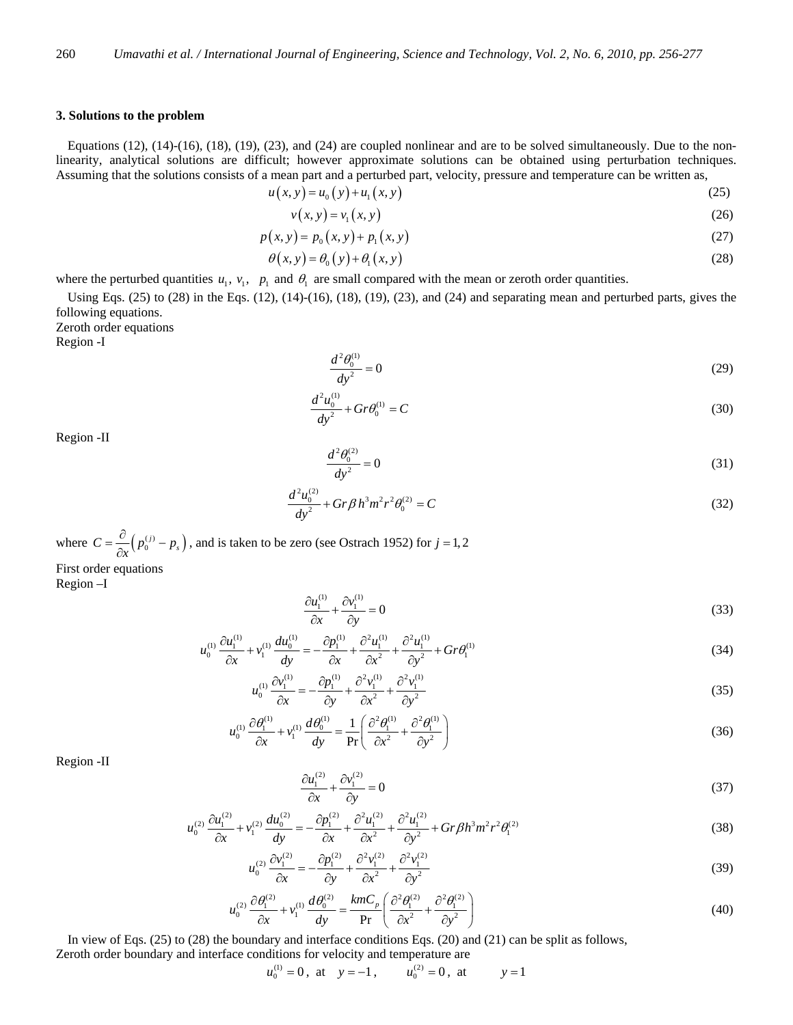### **3. Solutions to the problem**

Equations (12), (14)-(16), (18), (19), (23), and (24) are coupled nonlinear and are to be solved simultaneously. Due to the nonlinearity, analytical solutions are difficult; however approximate solutions can be obtained using perturbation techniques. Assuming that the solutions consists of a mean part and a perturbed part, velocity, pressure and temperature can be written as,

$$
u(x, y) = u_0(y) + u_1(x, y)
$$
 (25)

$$
v(x, y) = v_1(x, y) \tag{26}
$$

$$
p(x, y) = p_0(x, y) + p_1(x, y)
$$
\n(27)

$$
\theta(x, y) = \theta_0(y) + \theta_1(x, y)
$$
\n(28)

where the perturbed quantities  $u_1$ ,  $v_1$ ,  $p_1$  and  $\theta_1$  are small compared with the mean or zeroth order quantities.

Using Eqs.  $(25)$  to  $(28)$  in the Eqs.  $(12)$ ,  $(14)-(16)$ ,  $(18)$ ,  $(19)$ ,  $(23)$ , and  $(24)$  and separating mean and perturbed parts, gives the following equations.

Zeroth order equations

Region -I

$$
\frac{d^2\theta_0^{(1)}}{dy^2} = 0\tag{29}
$$

$$
\frac{d^2u_0^{(1)}}{dy^2} + Gr\theta_0^{(1)} = C\tag{30}
$$

Region -II

$$
\frac{d^2\theta_0^{(2)}}{dy^2} = 0\tag{31}
$$

$$
\frac{d^2u_0^{(2)}}{dy^2} + Gr\beta h^3 m^2 r^2 \theta_0^{(2)} = C
$$
\n(32)

where  $C = \frac{\partial}{\partial x} ( p_0^{(j)} - p_s )$ , and is taken to be zero (see Ostrach 1952) for  $j = 1, 2$ First order equations Region –I

$$
\frac{\partial u_1^{(1)}}{\partial x} + \frac{\partial v_1^{(1)}}{\partial y} = 0\tag{33}
$$

$$
u_0^{(1)} \frac{\partial u_1^{(1)}}{\partial x} + v_1^{(1)} \frac{du_0^{(1)}}{dy} = -\frac{\partial p_1^{(1)}}{\partial x} + \frac{\partial^2 u_1^{(1)}}{\partial x^2} + \frac{\partial^2 u_1^{(1)}}{\partial y^2} + Gr \theta_1^{(1)}
$$
(34)

$$
u_0^{(1)} \frac{\partial v_1^{(1)}}{\partial x} = -\frac{\partial p_1^{(1)}}{\partial y} + \frac{\partial^2 v_1^{(1)}}{\partial x^2} + \frac{\partial^2 v_1^{(1)}}{\partial y^2}
$$
 (35)

$$
u_0^{(1)} \frac{\partial \theta_1^{(1)}}{\partial x} + v_1^{(1)} \frac{d \theta_0^{(1)}}{dy} = \frac{1}{\text{Pr}} \left( \frac{\partial^2 \theta_1^{(1)}}{\partial x^2} + \frac{\partial^2 \theta_1^{(1)}}{\partial y^2} \right)
$$
(36)

Region -II

$$
\frac{\partial u_1^{(2)}}{\partial x} + \frac{\partial v_1^{(2)}}{\partial y} = 0\tag{37}
$$

$$
u_0^{(2)} \frac{\partial u_1^{(2)}}{\partial x} + v_1^{(2)} \frac{du_0^{(2)}}{dy} = -\frac{\partial p_1^{(2)}}{\partial x} + \frac{\partial^2 u_1^{(2)}}{\partial x^2} + \frac{\partial^2 u_1^{(2)}}{\partial y^2} + Gr \beta h^3 m^2 r^2 \theta_1^{(2)}
$$
(38)

$$
u_0^{(2)} \frac{\partial v_1^{(2)}}{\partial x} = -\frac{\partial p_1^{(2)}}{\partial y} + \frac{\partial^2 v_1^{(2)}}{\partial x^2} + \frac{\partial^2 v_1^{(2)}}{\partial y^2}
$$
 (39)

$$
u_0^{(2)} \frac{\partial \theta_1^{(2)}}{\partial x} + v_1^{(1)} \frac{d \theta_0^{(2)}}{dy} = \frac{k m C_p}{\text{Pr}} \left( \frac{\partial^2 \theta_1^{(2)}}{\partial x^2} + \frac{\partial^2 \theta_1^{(2)}}{\partial y^2} \right)
$$
(40)

 In view of Eqs. (25) to (28) the boundary and interface conditions Eqs. (20) and (21) can be split as follows, Zeroth order boundary and interface conditions for velocity and temperature are

$$
u_0^{(1)} = 0
$$
, at  $y = -1$ ,  $u_0^{(2)} = 0$ , at  $y = 1$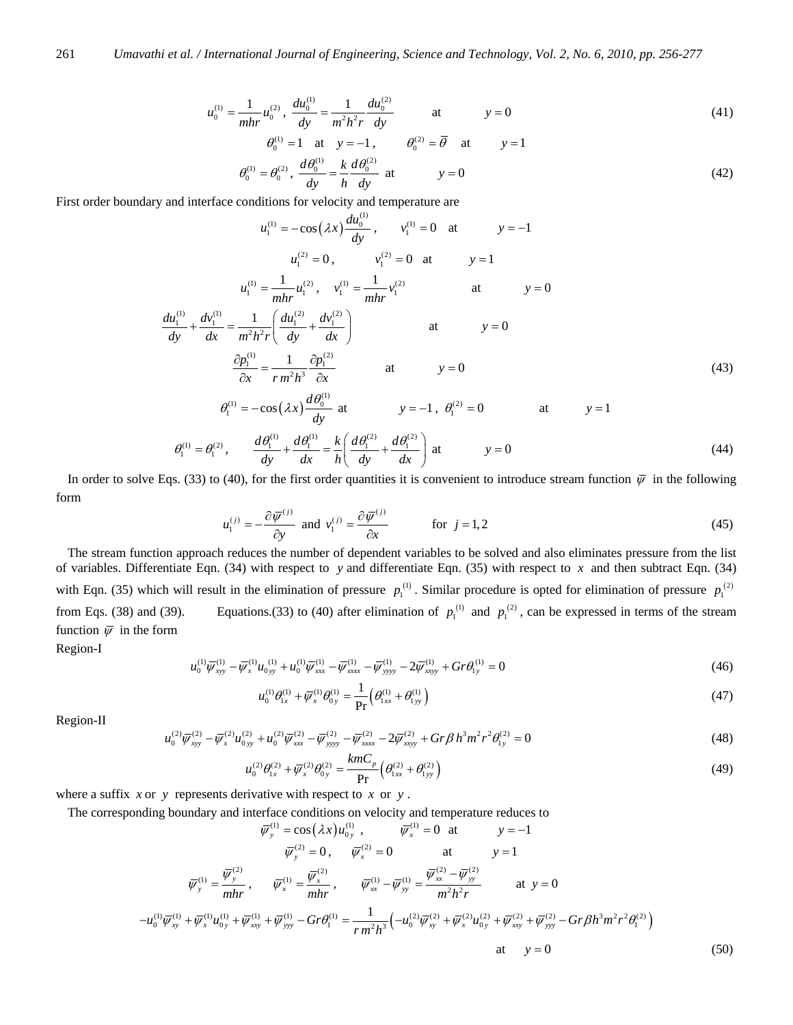$$
u_0^{(1)} = \frac{1}{mhr} u_0^{(2)}, \quad \frac{du_0^{(1)}}{dy} = \frac{1}{m^2 h^2 r} \frac{du_0^{(2)}}{dy} \qquad \text{at} \qquad y = 0 \tag{41}
$$

$$
\theta_0^{(1)} = 1 \quad \text{at} \quad y = -1, \qquad \theta_0^{(2)} = \overline{\theta} \quad \text{at} \qquad y = 1
$$
  

$$
\theta_0^{(1)} = \theta_0^{(2)}, \ \frac{d\theta_0^{(1)}}{dy} = \frac{k}{h} \frac{d\theta_0^{(2)}}{dy} \quad \text{at} \qquad y = 0
$$
 (42)

First order boundary and interface conditions for velocity and temperature are

$$
u_1^{(1)} = -\cos(\lambda x) \frac{du_0^{(1)}}{dy}, \qquad v_1^{(1)} = 0 \quad \text{at} \qquad y = -1
$$
  
\n
$$
u_1^{(2)} = 0, \qquad v_1^{(2)} = 0 \quad \text{at} \qquad y = 1
$$
  
\n
$$
u_1^{(1)} = \frac{1}{mhr} u_1^{(2)}, \qquad v_1^{(1)} = \frac{1}{mhr} v_1^{(2)} \qquad \text{at} \qquad y = 0
$$
  
\n
$$
\frac{du_1^{(1)}}{dy} + \frac{dv_1^{(1)}}{dx} = \frac{1}{m^2h^2r} \left( \frac{du_1^{(2)}}{dy} + \frac{dv_1^{(2)}}{dx} \right) \qquad \text{at} \qquad y = 0
$$
  
\n
$$
\frac{\partial p_1^{(1)}}{\partial x} = \frac{1}{rm^2h^3} \frac{\partial p_1^{(2)}}{\partial x} \qquad \text{at} \qquad y = 0
$$
  
\n
$$
\theta_1^{(1)} = -\cos(\lambda x) \frac{d\theta_0^{(1)}}{dy} \text{ at} \qquad y = -1, \ \theta_1^{(2)} = 0 \qquad \text{at} \qquad y = 1
$$
  
\n(43)

$$
\theta_1^{(1)} = \theta_1^{(2)}, \qquad \frac{d\theta_1^{(1)}}{dy} + \frac{d\theta_1^{(1)}}{dx} = \frac{k}{h} \left( \frac{d\theta_1^{(2)}}{dy} + \frac{d\theta_1^{(2)}}{dx} \right) \text{ at } y = 0 \tag{44}
$$

In order to solve Eqs. (33) to (40), for the first order quantities it is convenient to introduce stream function  $\overline{\psi}$  in the following form

$$
u_1^{(j)} = -\frac{\partial \bar{\psi}^{(j)}}{\partial y} \text{ and } v_1^{(j)} = \frac{\partial \bar{\psi}^{(j)}}{\partial x} \qquad \text{for } j = 1, 2
$$
 (45)

The stream function approach reduces the number of dependent variables to be solved and also eliminates pressure from the list of variables. Differentiate Eqn. (34) with respect to *y* and differentiate Eqn. (35) with respect to *x* and then subtract Eqn. (34) with Eqn. (35) which will result in the elimination of pressure  $p_1^{(1)}$ . Similar procedure is opted for elimination of pressure  $p_1^{(2)}$ from Eqs. (38) and (39). Equations.(33) to (40) after elimination of  $p_1^{(1)}$  and  $p_2^{(2)}$ , can be expressed in terms of the stream function  $\overline{\psi}$  in the form

Region-I

$$
u_0^{(1)} \overline{\psi}_{xyy}^{(1)} - \overline{\psi}_x^{(1)} u_{0yy}^{(1)} + u_0^{(1)} \overline{\psi}_{xxx}^{(1)} - \overline{\psi}_{xxx}^{(1)} - \overline{\psi}_{yyyy}^{(1)} - 2 \overline{\psi}_{xyyy}^{(1)} + Gr \theta_{1y}^{(1)} = 0
$$
\n(46)

$$
u_0^{(1)} \theta_{1x}^{(1)} + \overline{\psi}_x^{(1)} \theta_{0y}^{(1)} = \frac{1}{\Pr} \Big( \theta_{1xx}^{(1)} + \theta_{1yy}^{(1)} \Big)
$$
(47)

Region-II

$$
u_0^{(2)}\overline{\psi}_{\text{xy}}^{(2)} - \overline{\psi}_{x}^{(2)}u_{0\text{yy}}^{(2)} + u_0^{(2)}\overline{\psi}_{\text{xxx}}^{(2)} - \overline{\psi}_{\text{yyy}}^{(2)} - \overline{\psi}_{\text{xxx}}^{(2)} - 2\overline{\psi}_{\text{xyy}}^{(2)} + Gr\beta h^3 m^2 r^2 \theta_{1y}^{(2)} = 0
$$
\n(48)

$$
u_0^{(2)}\theta_{1x}^{(2)} + \overline{\psi}_x^{(2)}\theta_{0y}^{(2)} = \frac{k m C_p}{\text{Pr}} \left(\theta_{1xx}^{(2)} + \theta_{1yy}^{(2)}\right)
$$
(49)

where a suffix  $x$  or  $y$  represents derivative with respect to  $x$  or  $y$ .

The corresponding boundary and interface conditions on velocity and temperature reduces to

$$
\overline{\psi}_{y}^{(1)} = \cos(\lambda x) u_{0y}^{(1)}, \qquad \overline{\psi}_{x}^{(1)} = 0 \text{ at } y = -1
$$
  
\n
$$
\overline{\psi}_{y}^{(2)} = 0, \qquad \overline{\psi}_{x}^{(2)} = 0 \qquad \text{at } y = 1
$$
  
\n
$$
\overline{\psi}_{y}^{(1)} = \frac{\overline{\psi}_{y}^{(2)}}{mhr}, \qquad \overline{\psi}_{x}^{(1)} = \frac{\overline{\psi}_{x}^{(2)}}{mhr}, \qquad \overline{\psi}_{xx}^{(1)} - \overline{\psi}_{yy}^{(1)} = \frac{\overline{\psi}_{xx}^{(2)} - \overline{\psi}_{yy}^{(2)}}{m^2 h^2 r} \qquad \text{at } y = 0
$$
  
\n
$$
-u_{0}^{(1)} \overline{\psi}_{xy}^{(1)} + \overline{\psi}_{x}^{(1)} u_{0y}^{(1)} + \overline{\psi}_{xy}^{(1)} + \overline{\psi}_{yy}^{(1)} - Gr \theta_{1}^{(1)} = \frac{1}{r m^2 h^3} \left( -u_{0}^{(2)} \overline{\psi}_{xy}^{(2)} + \overline{\psi}_{x}^{(2)} u_{0y}^{(2)} + \overline{\psi}_{xy}^{(2)} + \overline{\psi}_{yy}^{(2)} - Gr \beta h^3 m^2 r^2 \theta_{1}^{(2)} \right)
$$
  
\nat  $y = 0$  (50)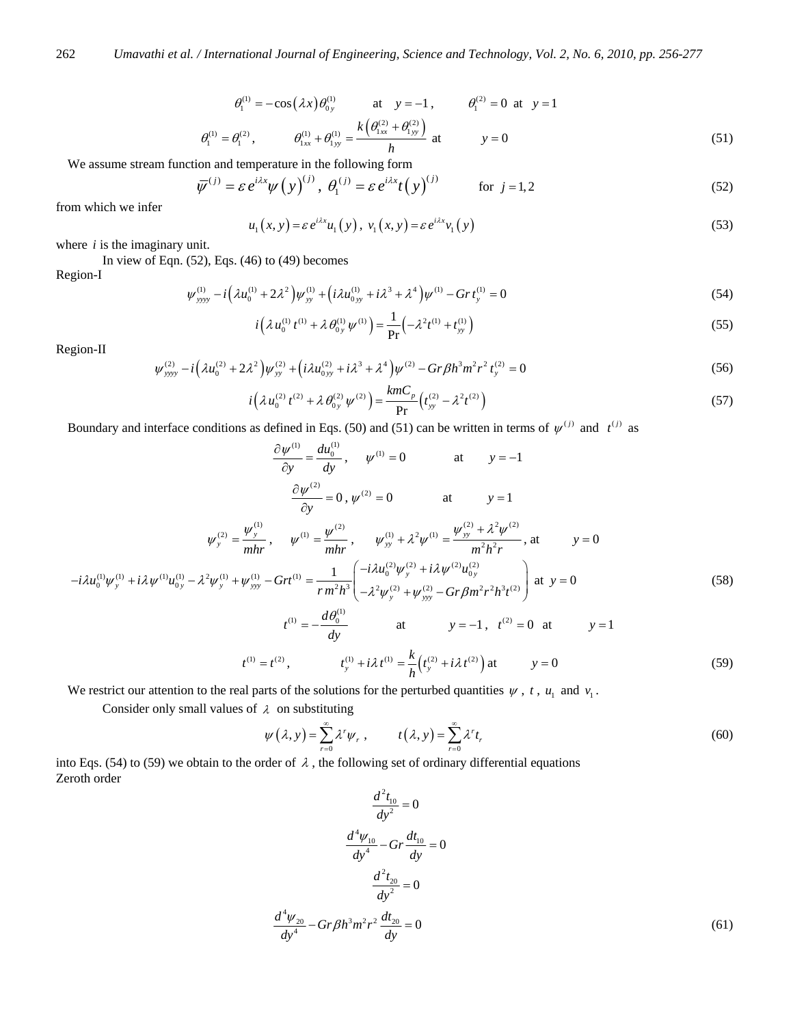$$
\theta_1^{(1)} = -\cos(\lambda x)\theta_{0y}^{(1)} \quad \text{at} \quad y = -1, \qquad \theta_1^{(2)} = 0 \text{ at } y = 1
$$
  

$$
\theta_1^{(1)} = \theta_1^{(2)}, \qquad \theta_{1xx}^{(1)} + \theta_{1yy}^{(1)} = \frac{k(\theta_{1xx}^{(2)} + \theta_{1yy}^{(2)})}{h} \quad \text{at} \qquad y = 0 \tag{51}
$$

We assume stream function and temperature in the following form

$$
\overline{\psi}^{(j)} = \varepsilon e^{i\lambda x} \psi(y)^{(j)}, \ \theta_1^{(j)} = \varepsilon e^{i\lambda x} t(y)^{(j)} \qquad \text{for } j = 1, 2
$$

from which we infer

$$
u_1(x, y) = \varepsilon e^{i\lambda x} u_1(y), \ v_1(x, y) = \varepsilon e^{i\lambda x} v_1(y)
$$
\n(53)

where *i* is the imaginary unit.

In view of Eqn. (52), Eqs. (46) to (49) becomes

Region-I

$$
\psi_{\text{yyy}}^{(1)} - i \left( \lambda u_0^{(1)} + 2 \lambda^2 \right) \psi_{\text{yy}}^{(1)} + \left( i \lambda u_{0\text{yy}}^{(1)} + i \lambda^3 + \lambda^4 \right) \psi^{(1)} - Gr t_y^{(1)} = 0 \tag{54}
$$

$$
i\left(\lambda u_0^{(1)} t^{(1)} + \lambda \theta_{0y}^{(1)} \psi^{(1)}\right) = \frac{1}{\text{Pr}}\left(-\lambda^2 t^{(1)} + t_{yy}^{(1)}\right)
$$
(55)

Region-II

$$
\psi_{\text{yyy}}^{(2)} - i \left( \lambda u_0^{(2)} + 2 \lambda^2 \right) \psi_{\text{yy}}^{(2)} + \left( i \lambda u_{0\text{yy}}^{(2)} + i \lambda^3 + \lambda^4 \right) \psi^{(2)} - Gr \beta h^3 m^2 r^2 t_y^{(2)} = 0 \tag{56}
$$

$$
i\left(\lambda u_0^{(2)} t^{(2)} + \lambda \theta_{0y}^{(2)} \psi^{(2)}\right) = \frac{k m C_p}{\text{Pr}} \left(t_{yy}^{(2)} - \lambda^2 t^{(2)}\right)
$$
(57)

Boundary and interface conditions as defined in Eqs. (50) and (51) can be written in terms of  $\psi^{(j)}$  and  $t^{(j)}$  as

$$
\frac{\partial \psi^{(1)}}{\partial y} = \frac{du_0^{(1)}}{dy}, \quad \psi^{(1)} = 0 \quad \text{at} \quad y = -1
$$
\n
$$
\frac{\partial \psi^{(2)}}{\partial y} = 0, \quad \psi^{(2)} = 0 \quad \text{at} \quad y = 1
$$
\n
$$
\psi_y^{(2)} = \frac{\psi_y^{(1)}}{mhr}, \quad \psi^{(1)} = \frac{\psi_{xy}^{(2)}}{mhr}, \quad \psi_{yy}^{(1)} + \lambda^2 \psi_{yy}^{(1)} = \frac{\psi_{yy}^{(2)} + \lambda^2 \psi_{zz}^{(2)}}{m^2 h^2 r}, \text{at} \quad y = 0
$$
\n
$$
-i\lambda u_0^{(1)} \psi_y^{(1)} + i\lambda \psi_{yy}^{(1)} u_{0y}^{(1)} - \lambda^2 \psi_{yy}^{(1)} + \psi_{yy}^{(1)} - Gr(t^{(1)}) = \frac{1}{r m^2 h^3} \left( \frac{-i\lambda u_0^{(2)} \psi_y^{(2)} + i\lambda \psi_{xy}^{(2)} u_{0y}^{(2)}}{-\lambda^2 \psi_y^{(2)} + \psi_{yy}^{(2)} - Gr \beta m^2 r^2 h^3 t^{(2)}} \right) \text{ at } y = 0 \quad (58)
$$
\n
$$
t^{(1)} = -\frac{d\theta_0^{(1)}}{dy} \quad \text{at} \quad y = -1, \quad t^{(2)} = 0 \quad \text{at} \quad y = 1
$$
\n
$$
t^{(1)} = t^{(2)}, \quad t_y^{(1)} + i\lambda t^{(1)} = \frac{k}{h} \left( t_y^{(2)} + i\lambda t^{(2)} \right) \text{at} \quad y = 0 \quad (59)
$$

We restrict our attention to the real parts of the solutions for the perturbed quantities  $\psi$ ,  $t$ ,  $u_1$  and  $v_1$ .

Consider only small values of  $\lambda$  on substituting

$$
\psi(\lambda, y) = \sum_{r=0}^{\infty} \lambda^r \psi_r, \qquad t(\lambda, y) = \sum_{r=0}^{\infty} \lambda^r t_r \tag{60}
$$

into Eqs. (54) to (59) we obtain to the order of  $\lambda$ , the following set of ordinary differential equations  $\frac{1}{2}$  Zeroth order  $\frac{1}{2}$ 

$$
\frac{d^2 t_{10}}{dy^2} = 0
$$
  

$$
\frac{d^4 \psi_{10}}{dy^4} - Gr \frac{dt_{10}}{dy} = 0
$$
  

$$
\frac{d^2 t_{20}}{dy^2} = 0
$$
  

$$
\frac{d^4 \psi_{20}}{dy^4} - Gr \beta h^3 m^2 r^2 \frac{dt_{20}}{dy} = 0
$$
 (61)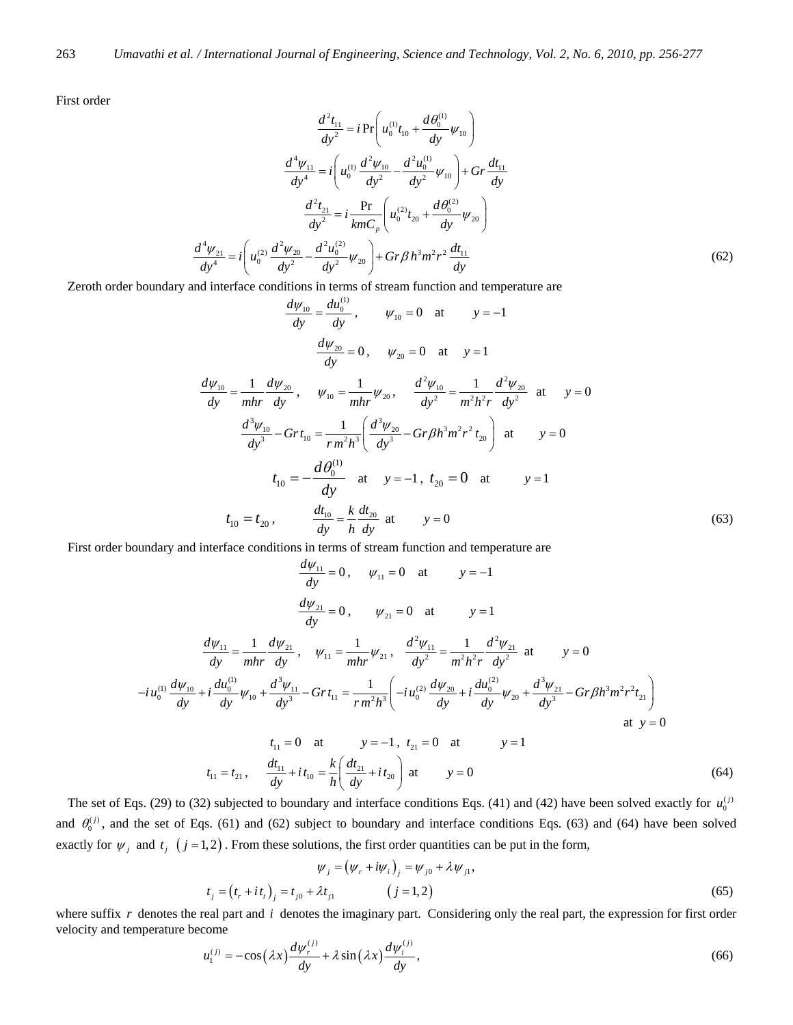First order

$$
\frac{d^2 t_{11}}{dy^2} = i \Pr \left( u_0^{(1)} t_{10} + \frac{d \theta_0^{(1)}}{dy} \psi_{10} \right)
$$

$$
\frac{d^4 \psi_{11}}{dy^4} = i \left( u_0^{(1)} \frac{d^2 \psi_{10}}{dy^2} - \frac{d^2 u_0^{(1)}}{dy^2} \psi_{10} \right) + \text{Gr} \frac{dt_{11}}{dy}
$$

$$
\frac{d^2 t_{21}}{dy^2} = i \frac{\text{Pr}}{\text{k} m C_p} \left( u_0^{(2)} t_{20} + \frac{d \theta_0^{(2)}}{dy} \psi_{20} \right)
$$

$$
\frac{d^4 \psi_{21}}{dy^4} = i \left( u_0^{(2)} \frac{d^2 \psi_{20}}{dy^2} - \frac{d^2 u_0^{(2)}}{dy^2} \psi_{20} \right) + \text{Gr} \beta h^3 m^2 r^2 \frac{dt_{11}}{dy} \tag{62}
$$

Zeroth order boundary and interface conditions in terms of stream function and temperature are

$$
\frac{d\psi_{10}}{dy} = \frac{du_0^{(1)}}{dy}, \qquad \psi_{10} = 0 \quad \text{at} \qquad y = -1
$$
\n
$$
\frac{d\psi_{20}}{dy} = 0, \qquad \psi_{20} = 0 \quad \text{at} \qquad y = 1
$$
\n
$$
\frac{d\psi_{10}}{dy} = \frac{1}{mhr} \frac{d\psi_{20}}{dy}, \qquad \psi_{10} = \frac{1}{mhr} \psi_{20}, \qquad \frac{d^2\psi_{10}}{dy^2} = \frac{1}{m^2h^2r} \frac{d^2\psi_{20}}{dy^2} \quad \text{at} \qquad y = 0
$$
\n
$$
\frac{d^3\psi_{10}}{dy^3} - Grt_{10} = \frac{1}{rm^2h^3} \left(\frac{d^3\psi_{20}}{dy^3} - Gr\beta h^3 m^2 r^2 t_{20}\right) \quad \text{at} \qquad y = 0
$$
\n
$$
t_{10} = -\frac{d\theta_0^{(1)}}{dy} \quad \text{at} \qquad y = -1, \ t_{20} = 0 \quad \text{at} \qquad y = 1
$$
\n
$$
t_{10} = t_{20}, \qquad \frac{dt_{10}}{dy} = \frac{k}{h} \frac{dt_{20}}{dy} \quad \text{at} \qquad y = 0
$$
\n(63)

First order boundary and interface conditions in terms of stream function and temperature are

$$
\frac{d\psi_{11}}{dy} = 0, \quad \psi_{11} = 0 \quad \text{at} \quad y = -1
$$
\n
$$
\frac{d\psi_{21}}{dy} = 0, \quad \psi_{21} = 0 \quad \text{at} \quad y = 1
$$
\n
$$
\frac{d\psi_{11}}{dy} = \frac{1}{mhr} \frac{d\psi_{21}}{dy}, \quad \psi_{11} = \frac{1}{mhr} \psi_{21}, \quad \frac{d^2\psi_{11}}{dy^2} = \frac{1}{m^2h^2r} \frac{d^2\psi_{21}}{dy^2} \text{ at } y = 0
$$
\n
$$
-i u_0^{(1)} \frac{d\psi_{10}}{dy} + i \frac{d u_0^{(1)}}{dy} \psi_{10} + \frac{d^3\psi_{11}}{dy^3} - Grt_{11} = \frac{1}{r m^2h^3} \left( -i u_0^{(2)} \frac{d\psi_{20}}{dy} + i \frac{d u_0^{(2)}}{dy} \psi_{20} + \frac{d^3\psi_{21}}{dy^3} - Gr \beta h^3 m^2 r^2 t_{21} \right)
$$
\nat  $y = 0$ \n
$$
t_{11} = 0 \quad \text{at} \quad y = -1, \quad t_{21} = 0 \quad \text{at} \quad y = 1
$$
\n
$$
t_{11} = t_{21}, \quad \frac{d t_{11}}{dy} + i t_{10} = \frac{k}{h} \left( \frac{d t_{21}}{dy} + i t_{20} \right) \text{ at } y = 0
$$
\n(64)

The set of Eqs. (29) to (32) subjected to boundary and interface conditions Eqs. (41) and (42) have been solved exactly for  $u_0^{(j)}$ and  $\theta_0^{(j)}$ , and the set of Eqs. (61) and (62) subject to boundary and interface conditions Eqs. (63) and (64) have been solved exactly for  $\psi_j$  and  $t_j$  ( $j = 1, 2$ ). From these solutions, the first order quantities can be put in the form,

$$
\psi_{j} = (\psi_{r} + i\psi_{i})_{j} = \psi_{j0} + \lambda \psi_{j1},
$$
  
\n
$$
t_{j} = (t_{r} + it_{i})_{j} = t_{j0} + \lambda t_{j1} \qquad (j = 1, 2)
$$
\n(65)

where suffix r denotes the real part and *i* denotes the imaginary part. Considering only the real part, the expression for first order velocity and temperature become

$$
u_1^{(j)} = -\cos(\lambda x) \frac{d\psi_r^{(j)}}{dy} + \lambda \sin(\lambda x) \frac{d\psi_i^{(j)}}{dy},\tag{66}
$$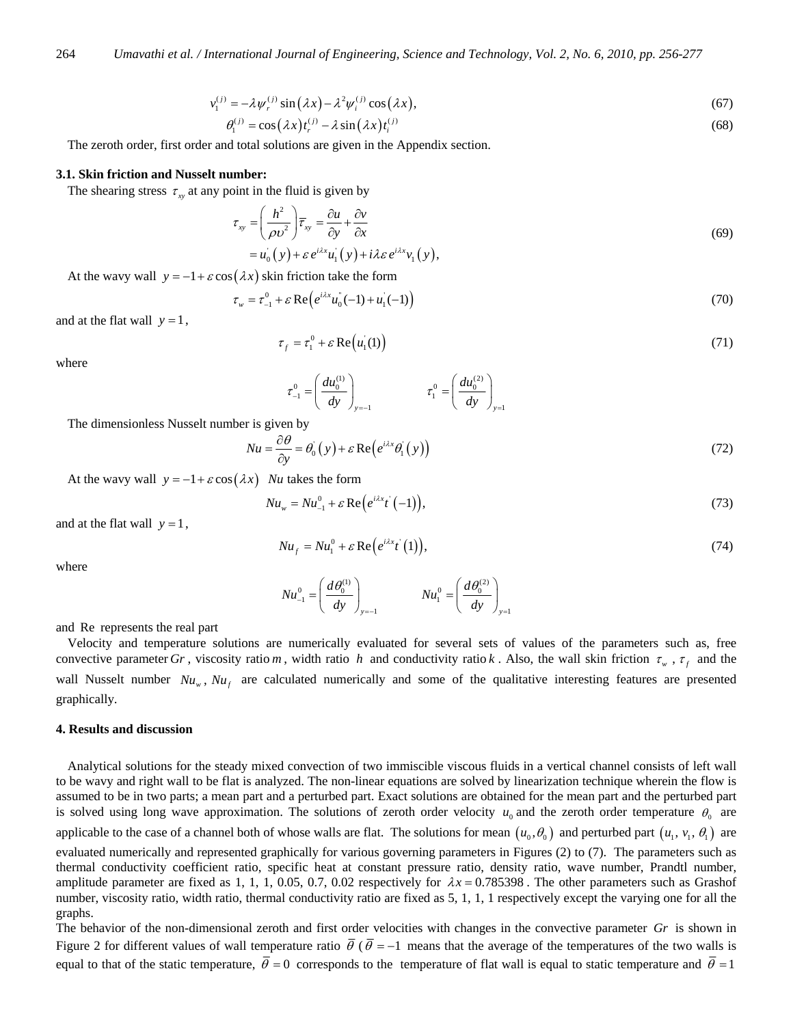$$
v_1^{(j)} = -\lambda \psi_r^{(j)} \sin(\lambda x) - \lambda^2 \psi_i^{(j)} \cos(\lambda x), \tag{67}
$$

$$
\theta_1^{(j)} = \cos(\lambda x) t_r^{(j)} - \lambda \sin(\lambda x) t_i^{(j)}
$$
(68)

The zeroth order, first order and total solutions are given in the Appendix section.

#### **3.1. Skin friction and Nusselt number:**

The shearing stress  $\tau_{xy}$  at any point in the fluid is given by

$$
\tau_{xy} = \left(\frac{h^2}{\rho v^2}\right) \overline{\tau}_{xy} = \frac{\partial u}{\partial y} + \frac{\partial v}{\partial x}
$$
  
=  $u_0(y) + \varepsilon e^{i\lambda x} u_1(y) + i\lambda \varepsilon e^{i\lambda x} v_1(y),$  (69)

At the wavy wall  $y = -1 + \varepsilon \cos(\lambda x)$  skin friction take the form

$$
\tau_w = \tau_{-1}^0 + \varepsilon \operatorname{Re} \left( e^{i\lambda x} u_0^{\dagger}(-1) + u_1^{\dagger}(-1) \right) \tag{70}
$$

and at the flat wall  $y = 1$ ,

$$
\tau_f = \tau_1^0 + \varepsilon \operatorname{Re}\left(u_1(1)\right) \tag{71}
$$

where

$$
\tau_{-1}^{0} = \left(\frac{du_0^{(1)}}{dy}\right)_{y=-1} \qquad \qquad \tau_1^{0} = \left(\frac{du_0^{(2)}}{dy}\right)_{y=1}
$$

The dimensionless Nusselt number is given by

$$
Nu = \frac{\partial \theta}{\partial y} = \theta_0'(y) + \varepsilon \operatorname{Re}\left(e^{i\lambda x}\theta_1'(y)\right)
$$
\n(72)

At the wavy wall  $y = -1 + \varepsilon \cos(\lambda x)$  *Nu* takes the form

$$
Nu_w = Nu_{-1}^0 + \varepsilon \operatorname{Re}\left(e^{i\lambda x}t^{\cdot}(-1)\right),\tag{73}
$$

and at the flat wall  $y = 1$ ,

$$
Nu_{f} = Nu_{1}^{0} + \varepsilon \operatorname{Re}\left(e^{i\lambda x}t^{'}(1)\right),\tag{74}
$$

where

$$
Nu_{-1}^{0} = \left(\frac{d\theta_0^{(1)}}{dy}\right)_{y=-1} \qquad Nu_{1}^{0} = \left(\frac{d\theta_0^{(2)}}{dy}\right)_{y=1}
$$

and Re represents the real part

Velocity and temperature solutions are numerically evaluated for several sets of values of the parameters such as, free convective parameter *Gr*, viscosity ratio *m*, width ratio *h* and conductivity ratio *k*. Also, the wall skin friction  $\tau_w$ ,  $\tau_f$  and the wall Nusselt number  $Nu_{w}$ ,  $Nu_{f}$  are calculated numerically and some of the qualitative interesting features are presented graphically.

#### **4. Results and discussion**

Analytical solutions for the steady mixed convection of two immiscible viscous fluids in a vertical channel consists of left wall to be wavy and right wall to be flat is analyzed. The non-linear equations are solved by linearization technique wherein the flow is assumed to be in two parts; a mean part and a perturbed part. Exact solutions are obtained for the mean part and the perturbed part is solved using long wave approximation. The solutions of zeroth order velocity  $u_0$  and the zeroth order temperature  $\theta_0$  are applicable to the case of a channel both of whose walls are flat. The solutions for mean  $(u_0, \theta_0)$  and perturbed part  $(u_1, v_1, \theta_1)$  are evaluated numerically and represented graphically for various governing parameters in Figures (2) to (7). The parameters such as thermal conductivity coefficient ratio, specific heat at constant pressure ratio, density ratio, wave number, Prandtl number, amplitude parameter are fixed as 1, 1, 1, 0.05, 0.7, 0.02 respectively for  $\lambda x = 0.785398$ . The other parameters such as Grashof number, viscosity ratio, width ratio, thermal conductivity ratio are fixed as 5, 1, 1, 1 respectively except the varying one for all the graphs.

The behavior of the non-dimensional zeroth and first order velocities with changes in the convective parameter *Gr* is shown in Figure 2 for different values of wall temperature ratio  $\bar{\theta}$  ( $\bar{\theta}$  = −1 means that the average of the temperatures of the two walls is equal to that of the static temperature,  $\bar{\theta} = 0$  corresponds to the temperature of flat wall is equal to static temperature and  $\bar{\theta} = 1$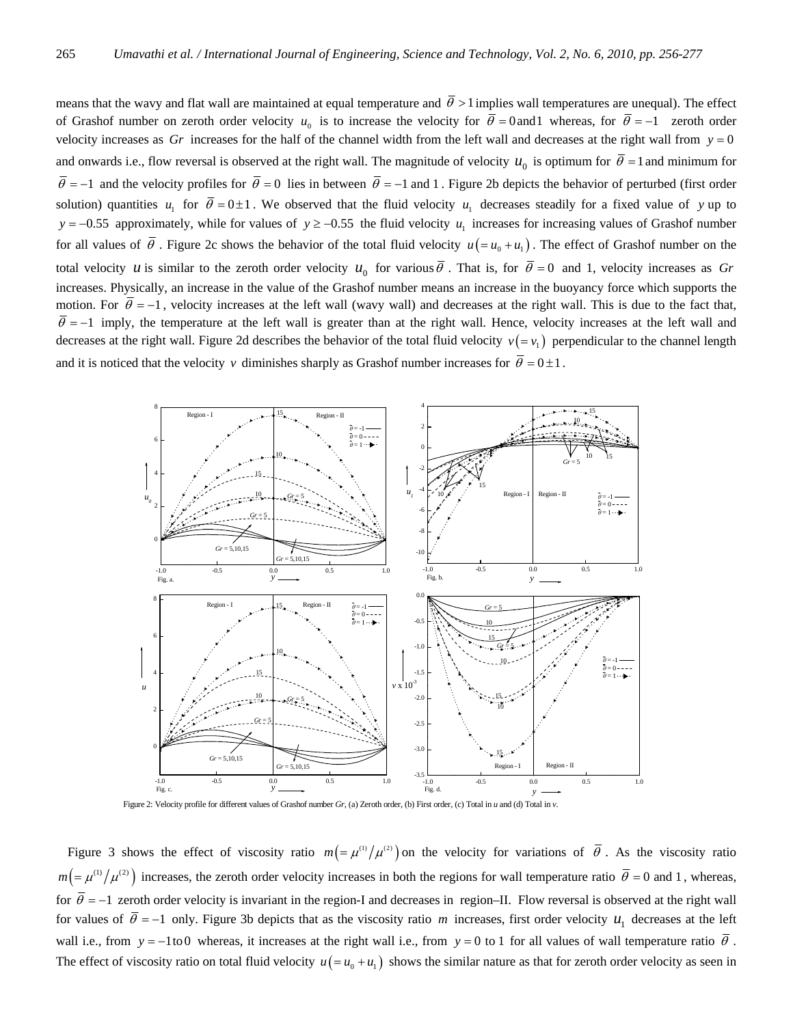means that the wavy and flat wall are maintained at equal temperature and  $\bar{\theta} > 1$  implies wall temperatures are unequal). The effect of Grashof number on zeroth order velocity  $u_0$  is to increase the velocity for  $\bar{\theta} = 0$  and l whereas, for  $\bar{\theta} = -1$  zeroth order velocity increases as  $Gr$  increases for the half of the channel width from the left wall and decreases at the right wall from  $y = 0$ and onwards i.e., flow reversal is observed at the right wall. The magnitude of velocity  $u_0$  is optimum for  $\bar{\theta} = 1$  and minimum for  $\overline{\theta}$  = −1 and the velocity profiles for  $\overline{\theta}$  = 0 lies in between  $\overline{\theta}$  = −1 and 1. Figure 2b depicts the behavior of perturbed (first order solution) quantities  $u_1$  for  $\overline{\theta} = 0 \pm 1$ . We observed that the fluid velocity  $u_1$  decreases steadily for a fixed value of y up to *y* = −0.55 approximately, while for values of *y* ≥ −0.55 the fluid velocity  $u_1$  increases for increasing values of Grashof number for all values of  $\overline{\theta}$ . Figure 2c shows the behavior of the total fluid velocity  $u(=u_0+u_1)$ . The effect of Grashof number on the total velocity *u* is similar to the zeroth order velocity  $u_0$  for various  $\overline{\theta}$ . That is, for  $\overline{\theta} = 0$  and 1, velocity increases as *Gr* increases. Physically, an increase in the value of the Grashof number means an increase in the buoyancy force which supports the motion. For  $\bar{\theta} = -1$ , velocity increases at the left wall (wavy wall) and decreases at the right wall. This is due to the fact that,  $\bar{\theta}$  = −1 imply, the temperature at the left wall is greater than at the right wall. Hence, velocity increases at the left wall and decreases at the right wall. Figure 2d describes the behavior of the total fluid velocity  $v (= v_1)$  perpendicular to the channel length and it is noticed that the velocity *v* diminishes sharply as Grashof number increases for  $\overline{\theta} = 0 \pm 1$ .





Figure 3 shows the effect of viscosity ratio  $m = \mu^{(1)}/\mu^{(2)}$  on the velocity for variations of  $\overline{\theta}$ . As the viscosity ratio  $m = \mu^{(1)}/\mu^{(2)}$  increases, the zeroth order velocity increases in both the regions for wall temperature ratio  $\bar{\theta} = 0$  and 1, whereas, for  $\bar{\theta} = -1$  zeroth order velocity is invariant in the region-I and decreases in region–II. Flow reversal is observed at the right wall for values of  $\bar{\theta} = -1$  only. Figure 3b depicts that as the viscosity ratio *m* increases, first order velocity  $u_1$  decreases at the left wall i.e., from  $y = -1$ to 0 whereas, it increases at the right wall i.e., from  $y = 0$  to 1 for all values of wall temperature ratio  $\overline{\theta}$ . The effect of viscosity ratio on total fluid velocity  $u(=u_0 + u_1)$  shows the similar nature as that for zeroth order velocity as seen in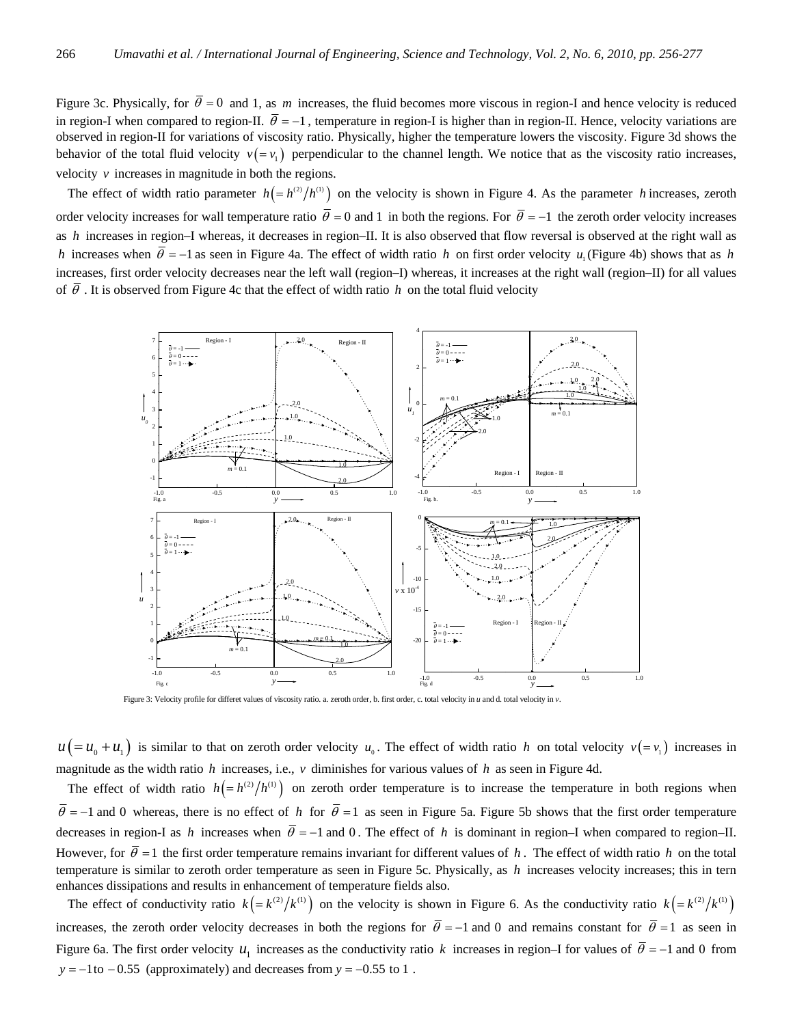Figure 3c. Physically, for  $\bar{\theta} = 0$  and 1, as *m* increases, the fluid becomes more viscous in region-I and hence velocity is reduced in region-I when compared to region-II.  $\bar{\theta} = -1$ , temperature in region-I is higher than in region-II. Hence, velocity variations are observed in region-II for variations of viscosity ratio. Physically, higher the temperature lowers the viscosity. Figure 3d shows the behavior of the total fluid velocity  $v( = v_1)$  perpendicular to the channel length. We notice that as the viscosity ratio increases, velocity  $\nu$  increases in magnitude in both the regions.

The effect of width ratio parameter  $h = (h^{(2)}/h^{(1)})$  on the velocity is shown in Figure 4. As the parameter *h* increases, zeroth order velocity increases for wall temperature ratio  $\bar{\theta} = 0$  and 1 in both the regions. For  $\bar{\theta} = -1$  the zeroth order velocity increases as *h* increases in region–I whereas, it decreases in region–II. It is also observed that flow reversal is observed at the right wall as *h* increases when  $\bar{\theta} = -1$  as seen in Figure 4a. The effect of width ratio *h* on first order velocity *u*<sub>1</sub> (Figure 4b) shows that as *h* increases, first order velocity decreases near the left wall (region–I) whereas, it increases at the right wall (region–II) for all values of  $\overline{\theta}$ . It is observed from Figure 4c that the effect of width ratio *h* on the total fluid velocity



Figure 3: Velocity profile for differet values of viscosity ratio. a. zeroth order, b. first order, c. total velocity in *u* and d. total velocity in *v*.

 $u (= u_0 + u_1)$  is similar to that on zeroth order velocity  $u_0$ . The effect of width ratio *h* on total velocity  $v(= v_1)$  increases in magnitude as the width ratio *h* increases, i.e., *v* diminishes for various values of *h* as seen in Figure 4d.

The effect of width ratio  $h = (h^{(2)}/h^{(1)})$  on zeroth order temperature is to increase the temperature in both regions when  $\bar{\theta}$  = −1 and 0 whereas, there is no effect of *h* for  $\bar{\theta}$  = 1 as seen in Figure 5a. Figure 5b shows that the first order temperature decreases in region-I as *h* increases when  $\bar{\theta} = -1$  and 0. The effect of *h* is dominant in region–I when compared to region–II. However, for  $\overline{\theta} = 1$  the first order temperature remains invariant for different values of *h*. The effect of width ratio *h* on the total temperature is similar to zeroth order temperature as seen in Figure 5c. Physically, as *h* increases velocity increases; this in tern enhances dissipations and results in enhancement of temperature fields also.

The effect of conductivity ratio  $k = k^{(2)}/k^{(1)}$  on the velocity is shown in Figure 6. As the conductivity ratio  $k = k^{(2)}/k^{(1)}$ increases, the zeroth order velocity decreases in both the regions for  $\bar{\theta} = -1$  and 0 and remains constant for  $\bar{\theta} = 1$  as seen in Figure 6a. The first order velocity  $u_1$  increases as the conductivity ratio k increases in region–I for values of  $\bar{\theta} = -1$  and 0 from  $y = -1$  to  $-0.55$  (approximately) and decreases from  $y = -0.55$  to 1.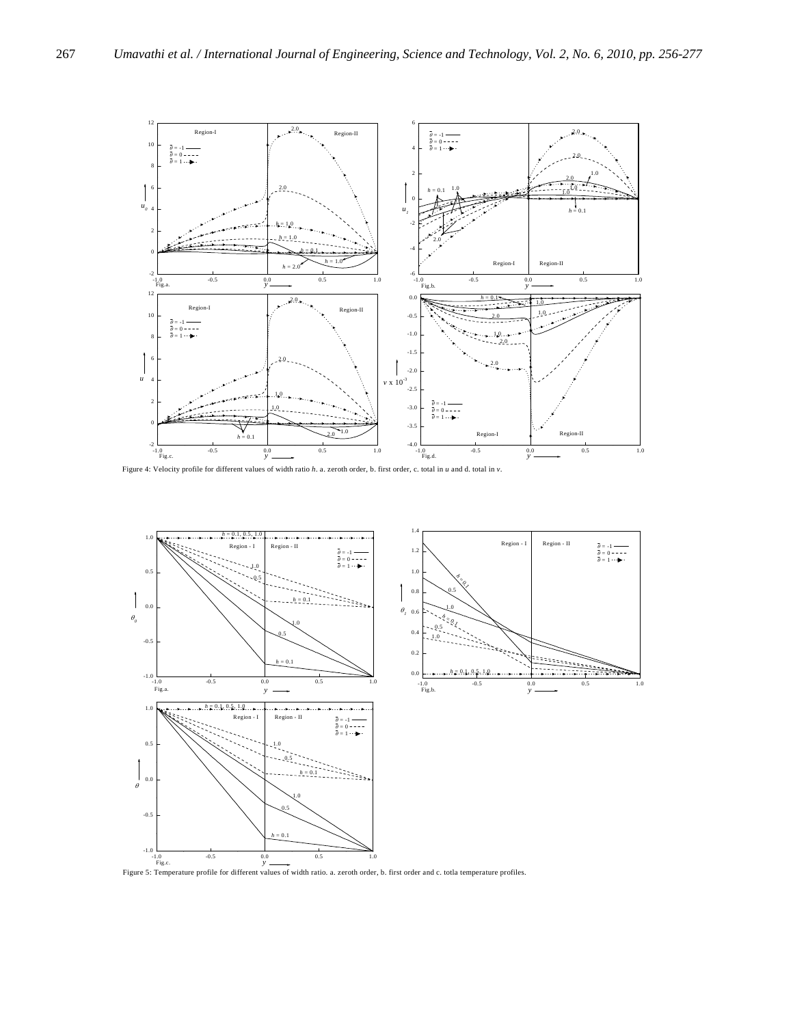

Figure 4: Velocity profile for different values of width ratio *h*. a. zeroth order, b. first order, c. total in *u* and d. total in *v*.

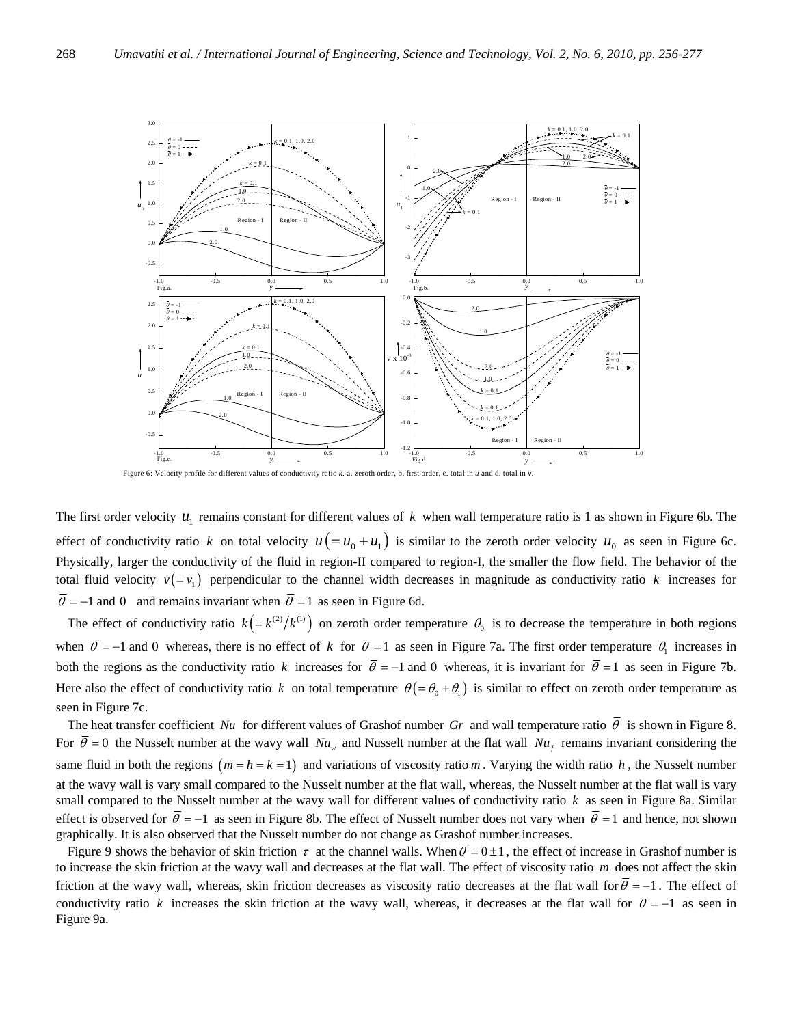

Figure 6: Velocity profile for different values of conductivity ratio *k*. a. zeroth order, b. first order, c. total in *u* and d. total in *v*.

The first order velocity  $u_1$  remains constant for different values of  $k$  when wall temperature ratio is 1 as shown in Figure 6b. The effect of conductivity ratio *k* on total velocity  $u(= u_0 + u_1)$  is similar to the zeroth order velocity  $u_0$  as seen in Figure 6c. Physically, larger the conductivity of the fluid in region-II compared to region-I, the smaller the flow field. The behavior of the total fluid velocity  $v(=v_1)$  perpendicular to the channel width decreases in magnitude as conductivity ratio k increases for  $\overline{\theta}$  = −1 and 0 and remains invariant when  $\overline{\theta}$  = 1 as seen in Figure 6d.

The effect of conductivity ratio  $k = (k^{(2)}/k^{(1)})$  on zeroth order temperature  $\theta_0$  is to decrease the temperature in both regions when  $\bar{\theta} = -1$  and 0 whereas, there is no effect of *k* for  $\bar{\theta} = 1$  as seen in Figure 7a. The first order temperature  $\theta_1$  increases in both the regions as the conductivity ratio *k* increases for  $\bar{\theta} = -1$  and 0 whereas, it is invariant for  $\bar{\theta} = 1$  as seen in Figure 7b. Here also the effect of conductivity ratio *k* on total temperature  $\theta = \theta_0 + \theta_1$  is similar to effect on zeroth order temperature as seen in Figure 7c.

The heat transfer coefficient *Nu* for different values of Grashof number Gr and wall temperature ratio  $\bar{\theta}$  is shown in Figure 8. For  $\bar{\theta} = 0$  the Nusselt number at the wavy wall  $Nu_w$  and Nusselt number at the flat wall  $Nu_f$  remains invariant considering the same fluid in both the regions  $(m = h = k = 1)$  and variations of viscosity ratio *m*. Varying the width ratio *h*, the Nusselt number at the wavy wall is vary small compared to the Nusselt number at the flat wall, whereas, the Nusselt number at the flat wall is vary small compared to the Nusselt number at the wavy wall for different values of conductivity ratio *k* as seen in Figure 8a. Similar effect is observed for  $\bar{\theta} = -1$  as seen in Figure 8b. The effect of Nusselt number does not vary when  $\bar{\theta} = 1$  and hence, not shown graphically. It is also observed that the Nusselt number do not change as Grashof number increases.

Figure 9 shows the behavior of skin friction  $\tau$  at the channel walls. When  $\bar{\theta} = 0 \pm 1$ , the effect of increase in Grashof number is to increase the skin friction at the wavy wall and decreases at the flat wall. The effect of viscosity ratio *m* does not affect the skin friction at the wavy wall, whereas, skin friction decreases as viscosity ratio decreases at the flat wall for  $\bar{\theta} = -1$ . The effect of conductivity ratio *k* increases the skin friction at the wavy wall, whereas, it decreases at the flat wall for  $\bar{\theta} = -1$  as seen in Figure 9a.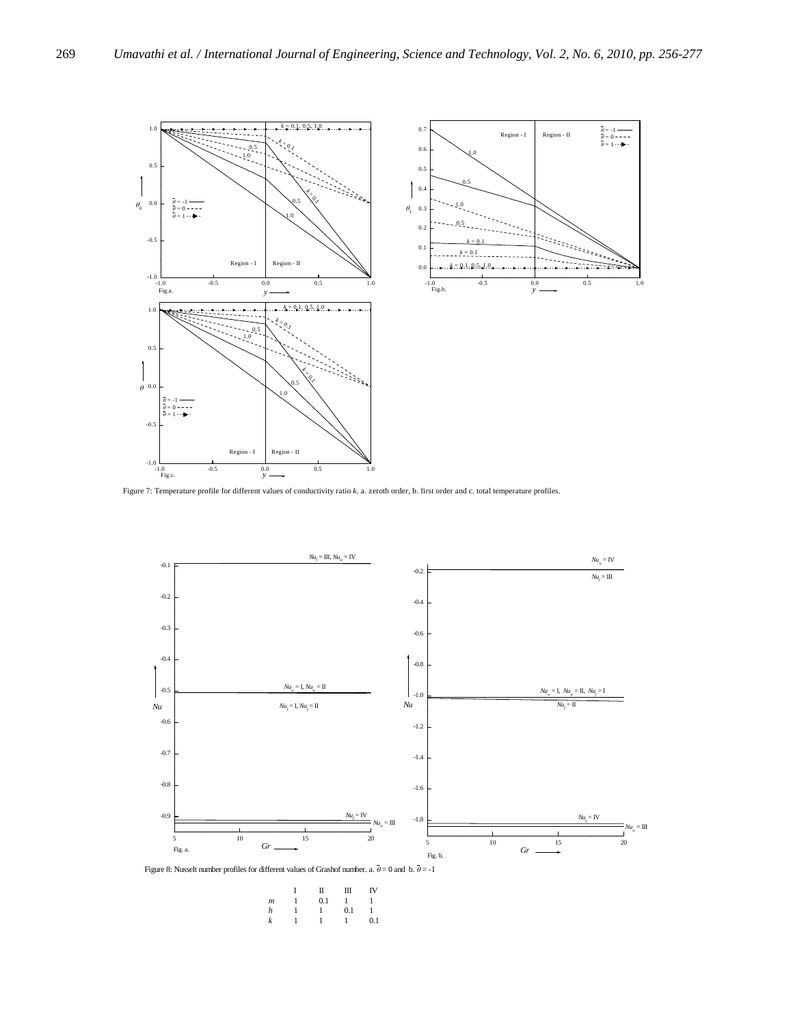



Figure 7: Temperature profile for different values of conductivity ratio *k*. a. zeroth order, b. first order and c. total temperature profiles.



Figure 8: Nusselt number profiles for different values of Grashof number. a.  $\overline{\theta}=0$  and b.  $\overline{\theta}=-1$ 

|                  | п   | Ш   | IV  |
|------------------|-----|-----|-----|
| $\boldsymbol{m}$ | 0.1 |     |     |
| h                |     | 0.1 |     |
| k                |     |     | 0.1 |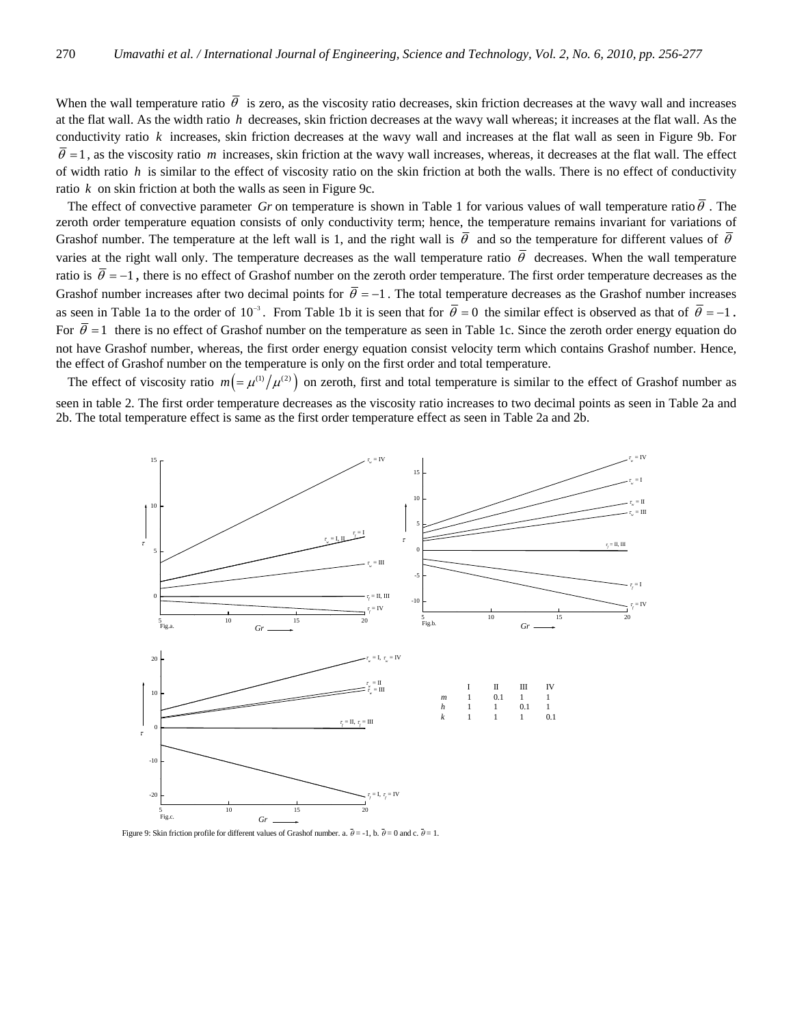When the wall temperature ratio  $\bar{\theta}$  is zero, as the viscosity ratio decreases, skin friction decreases at the wavy wall and increases at the flat wall. As the width ratio *h* decreases, skin friction decreases at the wavy wall whereas; it increases at the flat wall. As the conductivity ratio *k* increases, skin friction decreases at the wavy wall and increases at the flat wall as seen in Figure 9b. For  $\bar{\theta}$  = 1, as the viscosity ratio *m* increases, skin friction at the wavy wall increases, whereas, it decreases at the flat wall. The effect of width ratio *h* is similar to the effect of viscosity ratio on the skin friction at both the walls. There is no effect of conductivity ratio *k* on skin friction at both the walls as seen in Figure 9c.

The effect of convective parameter *Gr* on temperature is shown in Table 1 for various values of wall temperature ratio $\bar{\theta}$ . The zeroth order temperature equation consists of only conductivity term; hence, the temperature remains invariant for variations of Grashof number. The temperature at the left wall is 1, and the right wall is  $\bar{\theta}$  and so the temperature for different values of  $\bar{\theta}$ varies at the right wall only. The temperature decreases as the wall temperature ratio  $\bar{\theta}$  decreases. When the wall temperature ratio is  $\bar{\theta} = -1$ , there is no effect of Grashof number on the zeroth order temperature. The first order temperature decreases as the Grashof number increases after two decimal points for  $\bar{\theta} = -1$ . The total temperature decreases as the Grashof number increases as seen in Table 1a to the order of 10<sup>-3</sup>. From Table 1b it is seen that for  $\bar{\theta} = 0$  the similar effect is observed as that of  $\bar{\theta} = -1$ . For  $\bar{\theta} = 1$  there is no effect of Grashof number on the temperature as seen in Table 1c. Since the zeroth order energy equation do not have Grashof number, whereas, the first order energy equation consist velocity term which contains Grashof number. Hence, the effect of Grashof number on the temperature is only on the first order and total temperature.

The effect of viscosity ratio  $m = \mu^{(1)}/\mu^{(2)}$  on zeroth, first and total temperature is similar to the effect of Grashof number as seen in table 2. The first order temperature decreases as the viscosity ratio increases to two decimal points as seen in Table 2a and 2b. The total temperature effect is same as the first order temperature effect as seen in Table 2a and 2b.



Figure 9: Skin friction profile for different values of Grashof number. a.  $\bar{\theta} = -1$ , b.  $\bar{\theta} = 0$  and c.  $\bar{\theta} = 1$ .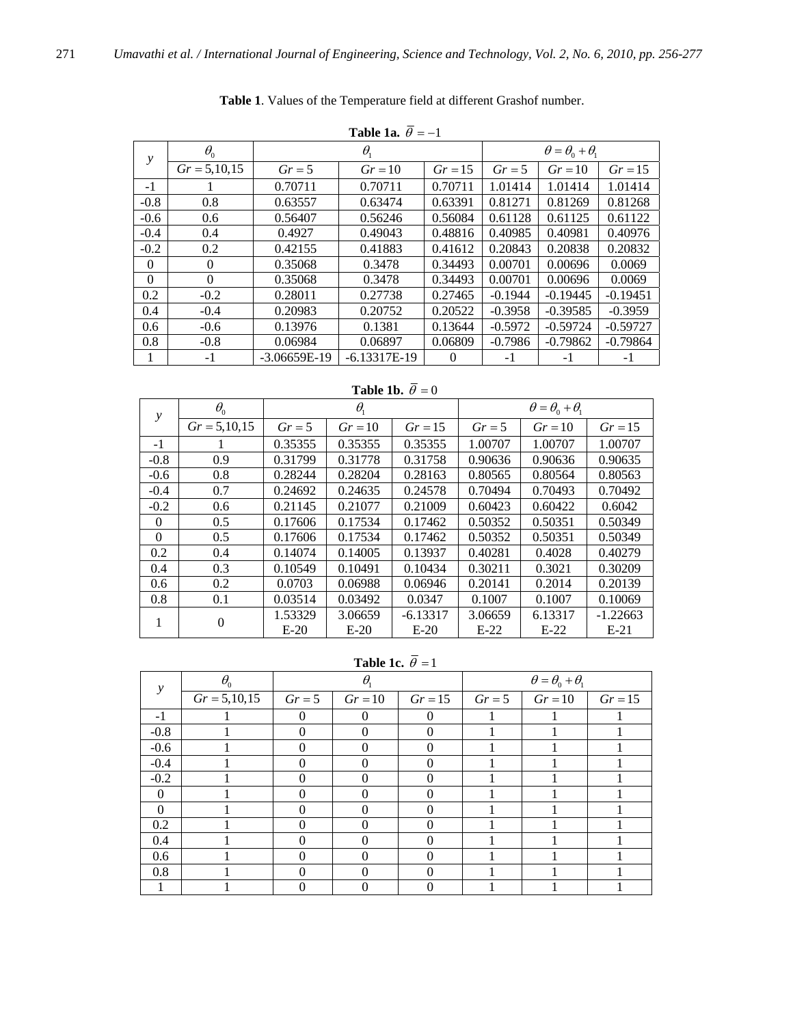|          | Table 1a. $\overline{\theta} = -1$ |                |                |           |                                |            |            |  |
|----------|------------------------------------|----------------|----------------|-----------|--------------------------------|------------|------------|--|
| y        | $\theta_0$                         |                | $\theta_{1}$   |           | $\theta = \theta_0 + \theta_1$ |            |            |  |
|          | $Gr = 5,10,15$                     | $Gr = 5$       | $Gr = 10$      | $Gr = 15$ | $Gr = 5$                       | $Gr = 10$  | $Gr = 15$  |  |
| $-1$     |                                    | 0.70711        | 0.70711        | 0.70711   | 1.01414                        | 1.01414    | 1.01414    |  |
| $-0.8$   | 0.8                                | 0.63557        | 0.63474        | 0.63391   | 0.81271                        | 0.81269    | 0.81268    |  |
| $-0.6$   | 0.6                                | 0.56407        | 0.56246        | 0.56084   | 0.61128                        | 0.61125    | 0.61122    |  |
| $-0.4$   | 0.4                                | 0.4927         | 0.49043        | 0.48816   | 0.40985                        | 0.40981    | 0.40976    |  |
| $-0.2$   | 0.2                                | 0.42155        | 0.41883        | 0.41612   | 0.20843                        | 0.20838    | 0.20832    |  |
| $\Omega$ | $\Omega$                           | 0.35068        | 0.3478         | 0.34493   | 0.00701                        | 0.00696    | 0.0069     |  |
| $\Omega$ | $\Omega$                           | 0.35068        | 0.3478         | 0.34493   | 0.00701                        | 0.00696    | 0.0069     |  |
| 0.2      | $-0.2$                             | 0.28011        | 0.27738        | 0.27465   | $-0.1944$                      | $-0.19445$ | $-0.19451$ |  |
| 0.4      | $-0.4$                             | 0.20983        | 0.20752        | 0.20522   | $-0.3958$                      | $-0.39585$ | $-0.3959$  |  |
| 0.6      | $-0.6$                             | 0.13976        | 0.1381         | 0.13644   | $-0.5972$                      | $-0.59724$ | $-0.59727$ |  |
| 0.8      | $-0.8$                             | 0.06984        | 0.06897        | 0.06809   | $-0.7986$                      | $-0.79862$ | $-0.79864$ |  |
| 1        | $-1$                               | $-3.06659E-19$ | $-6.13317E-19$ | $\Omega$  | -1                             | $-1$       | $-1$       |  |

**Table 1**. Values of the Temperature field at different Grashof number.

**Table 1b.**  $\overline{\theta} = 0$ 

| $\theta_{0}$<br>$\mathcal{V}$ |                | $\theta_{1}$ |         |            | $\theta = \theta_0 + \theta_1$ |           |            |  |
|-------------------------------|----------------|--------------|---------|------------|--------------------------------|-----------|------------|--|
|                               | $Gr = 5,10,15$ | $Gr = 5$     | $Gr=10$ | $Gr = 15$  | $Gr = 5$                       | $Gr = 10$ | $Gr = 15$  |  |
| $-1$                          | Ι.             | 0.35355      | 0.35355 | 0.35355    | 1.00707                        | 1.00707   | 1.00707    |  |
| $-0.8$                        | 0.9            | 0.31799      | 0.31778 | 0.31758    | 0.90636                        | 0.90636   | 0.90635    |  |
| $-0.6$                        | 0.8            | 0.28244      | 0.28204 | 0.28163    | 0.80565                        | 0.80564   | 0.80563    |  |
| $-0.4$                        | 0.7            | 0.24692      | 0.24635 | 0.24578    | 0.70494                        | 0.70493   | 0.70492    |  |
| $-0.2$                        | 0.6            | 0.21145      | 0.21077 | 0.21009    | 0.60423                        | 0.60422   | 0.6042     |  |
| $\Omega$                      | 0.5            | 0.17606      | 0.17534 | 0.17462    | 0.50352                        | 0.50351   | 0.50349    |  |
| $\Omega$                      | 0.5            | 0.17606      | 0.17534 | 0.17462    | 0.50352                        | 0.50351   | 0.50349    |  |
| 0.2                           | 0.4            | 0.14074      | 0.14005 | 0.13937    | 0.40281                        | 0.4028    | 0.40279    |  |
| 0.4                           | 0.3            | 0.10549      | 0.10491 | 0.10434    | 0.30211                        | 0.3021    | 0.30209    |  |
| 0.6                           | 0.2            | 0.0703       | 0.06988 | 0.06946    | 0.20141                        | 0.2014    | 0.20139    |  |
| 0.8                           | 0.1            | 0.03514      | 0.03492 | 0.0347     | 0.1007                         | 0.1007    | 0.10069    |  |
|                               | 0              | 1.53329      | 3.06659 | $-6.13317$ | 3.06659                        | 6.13317   | $-1.22663$ |  |
|                               |                | $E-20$       | $E-20$  | $E-20$     | $E-22$                         | $E-22$    | $E-21$     |  |

**Table 1c.**  $\overline{\theta} = 1$ 

| $\mathcal{Y}$ | $\theta_{0}$     |                   | $\theta$          |              |          | $\theta = \theta_0 + \theta_1$ |           |
|---------------|------------------|-------------------|-------------------|--------------|----------|--------------------------------|-----------|
|               | $Gr = 5, 10, 15$ | $Gr = 5$          | $Gr = 10$         | $Gr = 15$    | $Gr = 5$ | $Gr = 10$                      | $Gr = 15$ |
| $-1$          |                  | $\theta$          | $\Omega$          | $\theta$     |          |                                |           |
| $-0.8$        |                  | 0                 | $\theta$          | $\theta$     |          |                                |           |
| $-0.6$        |                  | $\theta$          | $\theta$          | $\Omega$     |          |                                |           |
| $-0.4$        |                  | 0                 | $\mathbf{\Omega}$ | $\Omega$     |          |                                |           |
| $-0.2$        |                  | $\Omega$          | $\Omega$          | $\Omega$     |          |                                |           |
| $\Omega$      |                  |                   |                   | $\Omega$     |          |                                |           |
| $\Omega$      |                  | $\theta$          | $\theta$          | $\Omega$     |          |                                |           |
| 0.2           |                  | $\mathbf{\Omega}$ | $\theta$          | $\Omega$     |          |                                |           |
| 0.4           |                  | $\theta$          |                   | $\Omega$     |          |                                |           |
| 0.6           |                  |                   | $\theta$          | $\Omega$     |          |                                |           |
| 0.8           |                  |                   |                   | $\mathbf{0}$ |          |                                |           |
|               |                  |                   |                   |              |          |                                |           |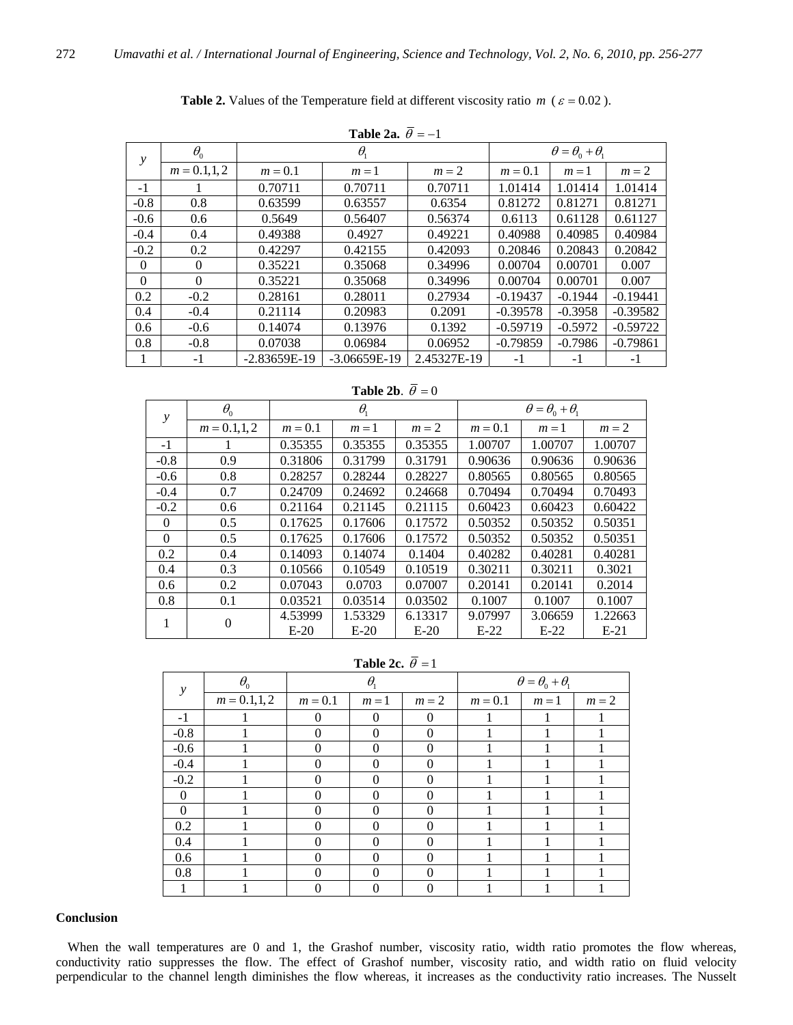|          | Table 2a. $\theta = -1$ |                |                |             |            |                                |            |
|----------|-------------------------|----------------|----------------|-------------|------------|--------------------------------|------------|
| у        | $\theta_{0}$            |                | $\theta_{1}$   |             |            | $\theta = \theta_0 + \theta_1$ |            |
|          | $m = 0.1, 1, 2$         | $m = 0.1$      | $m=1$          | $m=2$       | $m = 0.1$  | $m=1$                          | $m=2$      |
| $-1$     |                         | 0.70711        | 0.70711        | 0.70711     | 1.01414    | 1.01414                        | 1.01414    |
| $-0.8$   | 0.8                     | 0.63599        | 0.63557        | 0.6354      | 0.81272    | 0.81271                        | 0.81271    |
| $-0.6$   | 0.6                     | 0.5649         | 0.56407        | 0.56374     | 0.6113     | 0.61128                        | 0.61127    |
| $-0.4$   | 0.4                     | 0.49388        | 0.4927         | 0.49221     | 0.40988    | 0.40985                        | 0.40984    |
| $-0.2$   | 0.2                     | 0.42297        | 0.42155        | 0.42093     | 0.20846    | 0.20843                        | 0.20842    |
| $\Omega$ | $\mathbf{0}$            | 0.35221        | 0.35068        | 0.34996     | 0.00704    | 0.00701                        | 0.007      |
| $\Omega$ | $\Omega$                | 0.35221        | 0.35068        | 0.34996     | 0.00704    | 0.00701                        | 0.007      |
| 0.2      | $-0.2$                  | 0.28161        | 0.28011        | 0.27934     | $-0.19437$ | $-0.1944$                      | $-0.19441$ |
| 0.4      | $-0.4$                  | 0.21114        | 0.20983        | 0.2091      | $-0.39578$ | $-0.3958$                      | $-0.39582$ |
| 0.6      | $-0.6$                  | 0.14074        | 0.13976        | 0.1392      | $-0.59719$ | $-0.5972$                      | $-0.59722$ |
| 0.8      | $-0.8$                  | 0.07038        | 0.06984        | 0.06952     | $-0.79859$ | $-0.7986$                      | $-0.79861$ |
| 1        | $-1$                    | $-2.83659E-19$ | $-3.06659E-19$ | 2.45327E-19 | $-1$       | $-1$                           | $-1$       |

**Table 2.** Values of the Temperature field at different viscosity ratio *m* ( $\varepsilon = 0.02$ ).

**Table 2b.**  $\overline{\theta} = 0$ 

| y        | $\theta_{0}$    |           | $\theta_{1}$ |         |           | $\theta = \theta_0 + \theta_1$ |         |
|----------|-----------------|-----------|--------------|---------|-----------|--------------------------------|---------|
|          | $m = 0.1, 1, 2$ | $m = 0.1$ | $m=1$        | $m = 2$ | $m = 0.1$ | $m=1$                          | $m=2$   |
| $-1$     |                 | 0.35355   | 0.35355      | 0.35355 | 1.00707   | 1.00707                        | 1.00707 |
| $-0.8$   | 0.9             | 0.31806   | 0.31799      | 0.31791 | 0.90636   | 0.90636                        | 0.90636 |
| $-0.6$   | 0.8             | 0.28257   | 0.28244      | 0.28227 | 0.80565   | 0.80565                        | 0.80565 |
| $-0.4$   | 0.7             | 0.24709   | 0.24692      | 0.24668 | 0.70494   | 0.70494                        | 0.70493 |
| $-0.2$   | 0.6             | 0.21164   | 0.21145      | 0.21115 | 0.60423   | 0.60423                        | 0.60422 |
| $\Omega$ | 0.5             | 0.17625   | 0.17606      | 0.17572 | 0.50352   | 0.50352                        | 0.50351 |
| $\Omega$ | 0.5             | 0.17625   | 0.17606      | 0.17572 | 0.50352   | 0.50352                        | 0.50351 |
| 0.2      | 0.4             | 0.14093   | 0.14074      | 0.1404  | 0.40282   | 0.40281                        | 0.40281 |
| 0.4      | 0.3             | 0.10566   | 0.10549      | 0.10519 | 0.30211   | 0.30211                        | 0.3021  |
| 0.6      | 0.2             | 0.07043   | 0.0703       | 0.07007 | 0.20141   | 0.20141                        | 0.2014  |
| 0.8      | 0.1             | 0.03521   | 0.03514      | 0.03502 | 0.1007    | 0.1007                         | 0.1007  |
| 1        | $\Omega$        | 4.53999   | 1.53329      | 6.13317 | 9.07997   | 3.06659                        | 1.22663 |
|          |                 | $E-20$    | $E-20$       | $E-20$  | $E-22$    | $E-22$                         | $E-21$  |

**Table 2c.**  $\overline{\theta} = 1$ 

| у        | $\theta_{0}$    |           | $\theta_{1}$ |              |           | $\theta = \theta_0 + \theta_1$ |       |
|----------|-----------------|-----------|--------------|--------------|-----------|--------------------------------|-------|
|          | $m = 0.1, 1, 2$ | $m = 0.1$ | $m=1$        | $m=2$        | $m = 0.1$ | $m=1$                          | $m=2$ |
| $-1$     |                 | $\Omega$  | $\Omega$     | $\Omega$     |           |                                |       |
| $-0.8$   |                 | $\Omega$  | $\Omega$     | $\Omega$     |           |                                |       |
| $-0.6$   |                 | 0         | $\Omega$     | $\theta$     |           |                                |       |
| $-0.4$   |                 | 0         | $\Omega$     | $\theta$     |           |                                |       |
| $-0.2$   |                 | 0         | $\Omega$     | $\mathbf{0}$ |           |                                |       |
| $\theta$ |                 | $\Omega$  | $\Omega$     | 0            |           |                                |       |
| $\Omega$ |                 | $\Omega$  | $\Omega$     | 0            |           |                                |       |
| 0.2      |                 | $\Omega$  | $\Omega$     | $\theta$     |           |                                |       |
| 0.4      |                 | $\Omega$  | $\Omega$     | 0            |           |                                |       |
| 0.6      |                 | 0         | $\Omega$     | $\mathbf{0}$ |           |                                |       |
| 0.8      |                 | 0         | $\Omega$     |              |           |                                |       |
|          |                 |           |              |              |           |                                |       |

## **Conclusion**

When the wall temperatures are 0 and 1, the Grashof number, viscosity ratio, width ratio promotes the flow whereas, conductivity ratio suppresses the flow. The effect of Grashof number, viscosity ratio, and width ratio on fluid velocity perpendicular to the channel length diminishes the flow whereas, it increases as the conductivity ratio increases. The Nusselt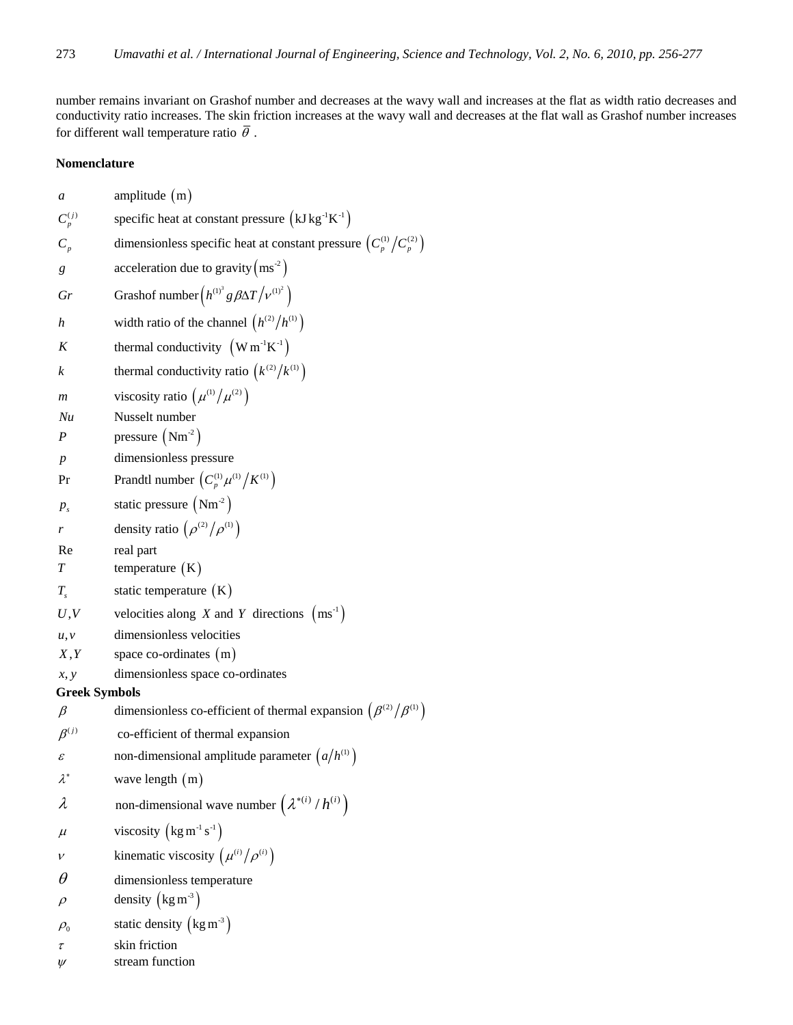number remains invariant on Grashof number and decreases at the wavy wall and increases at the flat as width ratio decreases and conductivity ratio increases. The skin friction increases at the wavy wall and decreases at the flat wall as Grashof number increases for different wall temperature ratio  $\overline{\theta}$ .

## **Nomenclature**

| a                    | amplitude $(m)$                                                             |
|----------------------|-----------------------------------------------------------------------------|
| $C_p^{(j)}$          | specific heat at constant pressure $(kJ kg^{-1}K^{-1})$                     |
| $C_p$                | dimensionless specific heat at constant pressure $(C_p^{(1)}/C_p^{(2)})$    |
| g                    | acceleration due to gravity $\left(ms^2\right)$                             |
| Gr                   | Grashof number $(h^{(1)^3}g\beta\Delta T /v^{(1)^2})$                       |
| h                    | width ratio of the channel $(h^{(2)}/h^{(1)})$                              |
| K                    | thermal conductivity $(W m^{-1} K^{-1})$                                    |
| $\boldsymbol{k}$     | thermal conductivity ratio $(k^{(2)}/k^{(1)})$                              |
| m                    | viscosity ratio $(\mu^{(1)}/\mu^{(2)})$                                     |
| Nu                   | Nusselt number                                                              |
| $\boldsymbol{P}$     | pressure $(Nm^2)$                                                           |
| $\boldsymbol{p}$     | dimensionless pressure                                                      |
| Pr                   | Prandtl number $\left(C_p^{(1)}\mu^{(1)}/K^{(1)}\right)$                    |
| $P_{s}$              | static pressure $(Nm-2)$                                                    |
| r                    | density ratio $(\rho^{(2)}/\rho^{(1)})$                                     |
| Re                   | real part                                                                   |
| T                    | temperature $(K)$                                                           |
| $T_{s}$              | static temperature $(K)$                                                    |
| U, V                 | velocities along X and Y directions $(ms^{-1})$                             |
| u, v                 | dimensionless velocities                                                    |
| X, Y                 | space co-ordinates $(m)$                                                    |
| x, y                 | dimensionless space co-ordinates                                            |
| <b>Greek Symbols</b> |                                                                             |
| $\beta$              | dimensionless co-efficient of thermal expansion $(\beta^{(2)}/\beta^{(1)})$ |
| $\beta^{(j)}$        | co-efficient of thermal expansion                                           |
| $\mathcal E$         | non-dimensional amplitude parameter $\left(a/h^{(1)}\right)$                |
| $\lambda^*$          | wave length (m)                                                             |
| λ                    | non-dimensional wave number $(\lambda^{*(i)}/h^{(i)})$                      |
| $\mu$                | viscosity $\left(\text{kg m}^{-1}\text{s}^{-1}\right)$                      |
| $\mathcal V$         | kinematic viscosity $(\mu^{(i)}/\rho^{(i)})$                                |
| $\theta$             | dimensionless temperature                                                   |
| $\rho$               | density $\left(\text{kg m}^3\right)$                                        |
| $\rho_{0}$           | static density $\left(\text{kg m}^3\right)$                                 |
| τ                    | skin friction<br>stream function                                            |
| $\psi$               |                                                                             |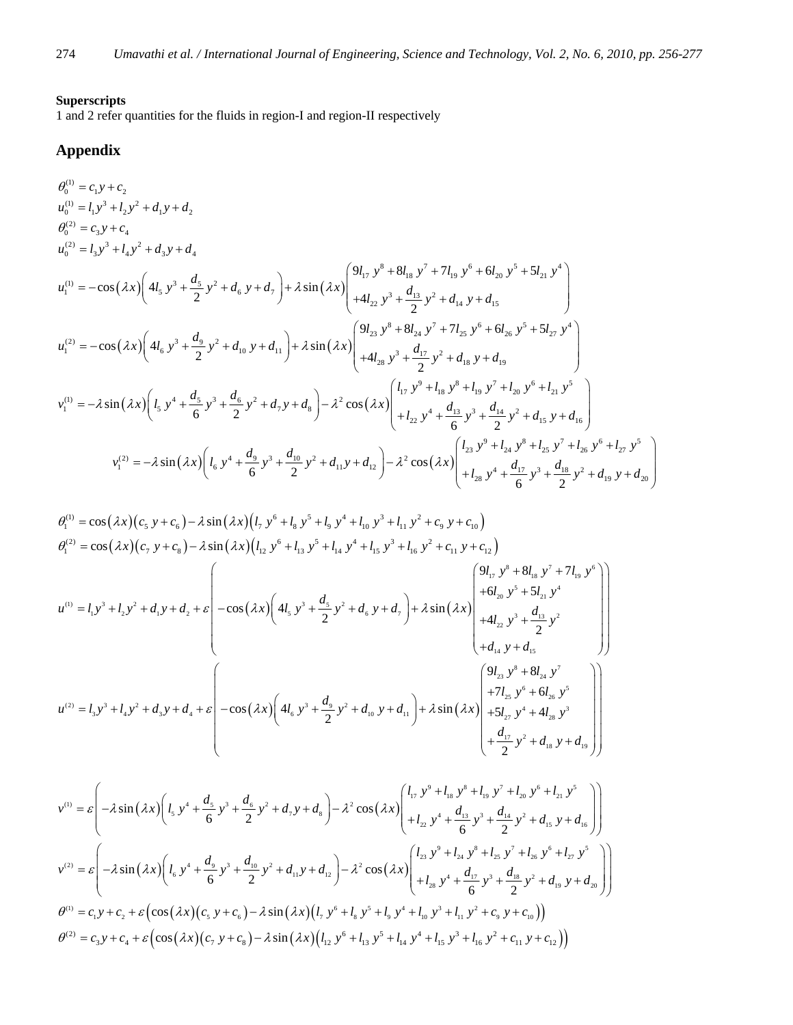## **Superscripts**

1 and 2 refer quantities for the fluids in region-I and region-II respectively

## **Appendix**

$$
\theta_{0}^{(1)} = c_{1}y + c_{2}
$$
\n
$$
u_{0}^{(2)} = l_{1}y^{3} + l_{2}y^{2} + d_{1}y + d_{2}
$$
\n
$$
u_{0}^{(2)} = l_{3}y^{3} + l_{4}y^{2} + d_{3}y + d_{4}
$$
\n
$$
u_{1}^{(1)} = -\cos(\lambda x) \left( 4l_{5} y^{3} + \frac{d_{5}}{2} y^{2} + d_{6} y + d_{7} \right) + \lambda \sin(\lambda x) \left( \frac{9l_{17} y^{8} + 8l_{18} y^{7} + 7l_{19} y^{6} + 6l_{20} y^{5} + 5l_{21} y^{4}}{4l_{12} y^{3} + \frac{d_{13}}{2} y^{2} + d_{14} y + d_{15}} \right)
$$
\n
$$
u_{1}^{(2)} = -\cos(\lambda x) \left( 4l_{6} y^{3} + \frac{d_{9}}{2} y^{2} + d_{10} y + d_{11} \right) + \lambda \sin(\lambda x) \left( \frac{9l_{23} y^{8} + 8l_{24} y^{7} + 7l_{25} y^{6} + 6l_{26} y^{5} + 5l_{27} y^{4}}{4l_{12} y^{2} + d_{18} y + d_{19}} \right)
$$
\n
$$
v_{1}^{(1)} = -\lambda \sin(\lambda x) \left( l_{5} y^{4} + \frac{d_{5}}{6} y^{3} + \frac{d_{6}}{2} y^{2} + d_{7} y + d_{8} \right) - \lambda^{2} \cos(\lambda x) \left( l_{17} y^{9} + l_{18} y^{8} + l_{19} y^{7} + l_{20} y^{6} + l_{21} y^{5} \right)
$$
\n
$$
v_{1}^{(2)} = -\lambda \sin(\lambda x) \left( l_{5} y^{4} + \frac{d_{5}}{6} y^{3} + \frac{d_{6}}{2} y^{2} + d_{7} y + d_{8} \right) - \lambda^{2} \cos(\lambda x) \left( l_{17} y^{9} + l_{18} y^{8} + l_{19} y^{7} + l_{20} y^{6} + l_{21} y^{5} \
$$

$$
\theta_1^{(1)} = \cos(\lambda x)(c_5 y + c_6) - \lambda \sin(\lambda x)(l_7 y^6 + l_8 y^5 + l_9 y^4 + l_{10} y^3 + l_{11} y^2 + c_9 y + c_{10})
$$
\n
$$
\theta_1^{(2)} = \cos(\lambda x)(c_7 y + c_8) - \lambda \sin(\lambda x)(l_{12} y^6 + l_{13} y^5 + l_{14} y^4 + l_{15} y^3 + l_{16} y^2 + c_{11} y + c_{12})
$$
\n
$$
u^{(1)} = l_1 y^3 + l_2 y^2 + d_1 y + d_2 + \varepsilon \begin{pmatrix} 1 & -\cos(\lambda x)(2l_1 y^6 + l_2 y^4 + l_3 y^4 + l_4 y^4 + l_5 y^3 + l_{16} y^2 + c_{11} y^2 + c_{12}y^4 + c_{12}y^4 + c_{12}y^5 + c_{12}y^4 + c_{12}y^5 + c_{12}y^4 + c_{12}y^5 + c_{12}y^4 + c_{12}y^5 + c_{12}y^4 + c_{12}y^5 + c_{12}y^4 + c_{12}y^5 + c_{12}y^4 + c_{12}y^5 + c_{12}y^5 + c_{12}y^5 + c_{12}y^6 + c_{12}y^5 + c_{12}y^6 + c_{12}y^5 + c_{12}y^5 + c_{12}y^5 + c_{12}y^5 + c_{12}y^5 + c_{12}y^5 + c_{12}y^5 + c_{12}y^5 + c_{12}y^5 + c_{12}y^5 + c_{12}y^5 + c_{12}y^5 + c_{12}y^5 + c_{12}y^5 + c_{12}y^5 + c_{12}y^5 + c_{12}y^5 + c_{12}y^5 + c_{12}y^5 + c_{12}y^5 + c_{12}y^5 + c_{12}y^5 + c_{12}y^5 + c_{12}y^5 + c_{12}y^5 + c_{12}y^5 + c_{12}y^5 + c_{12}y^5 + c_{12}y^5 + c_{12}y^5 + c_{12}y^5 + c_{12}y^
$$

$$
v^{(1)} = \varepsilon \left( -\lambda \sin \left( \lambda x \right) \left( l_{5} y^{4} + \frac{d_{5}}{6} y^{3} + \frac{d_{6}}{2} y^{2} + d_{7} y + d_{8} \right) - \lambda^{2} \cos \left( \lambda x \right) \left( l_{17} y^{9} + l_{18} y^{8} + l_{19} y^{7} + l_{20} y^{6} + l_{21} y^{5} \right) \right)
$$
  
\n
$$
v^{(2)} = \varepsilon \left( -\lambda \sin \left( \lambda x \right) \left( l_{6} y^{4} + \frac{d_{9}}{6} y^{3} + \frac{d_{10}}{2} y^{2} + d_{11} y + d_{12} \right) - \lambda^{2} \cos \left( \lambda x \right) \left( l_{23} y^{9} + l_{24} y^{8} + l_{25} y^{7} + l_{26} y^{6} + l_{27} y^{5} \right) \right)
$$
  
\n
$$
v^{(2)} = \varepsilon \left( -\lambda \sin \left( \lambda x \right) \left( l_{6} y^{4} + \frac{d_{9}}{6} y^{3} + \frac{d_{10}}{2} y^{2} + d_{11} y + d_{12} \right) - \lambda^{2} \cos \left( \lambda x \right) \left( l_{23} y^{9} + l_{24} y^{8} + l_{25} y^{7} + l_{26} y^{6} + l_{27} y^{5} \right) \right)
$$
  
\n
$$
\theta^{(1)} = c_{1} y + c_{2} + \varepsilon \left( \cos \left( \lambda x \right) \left( c_{5} y + c_{6} \right) - \lambda \sin \left( \lambda x \right) \left( l_{1} y^{6} + l_{8} y^{5} + l_{9} y^{4} + l_{10} y^{3} + l_{11} y^{2} + c_{9} y + c_{10} \right) \right)
$$
  
\n
$$
\theta^{(2)} = c_{3} y + c_{4} + \varepsilon \left( \cos \left( \lambda x \right) \left( c_{7} y + c_{8} \right) - \lambda \sin \left( \lambda x \right) \left( l_{12} y^{6} + l_{13} y^{5} + l_{14} y^{4} + l_{15} y^{3
$$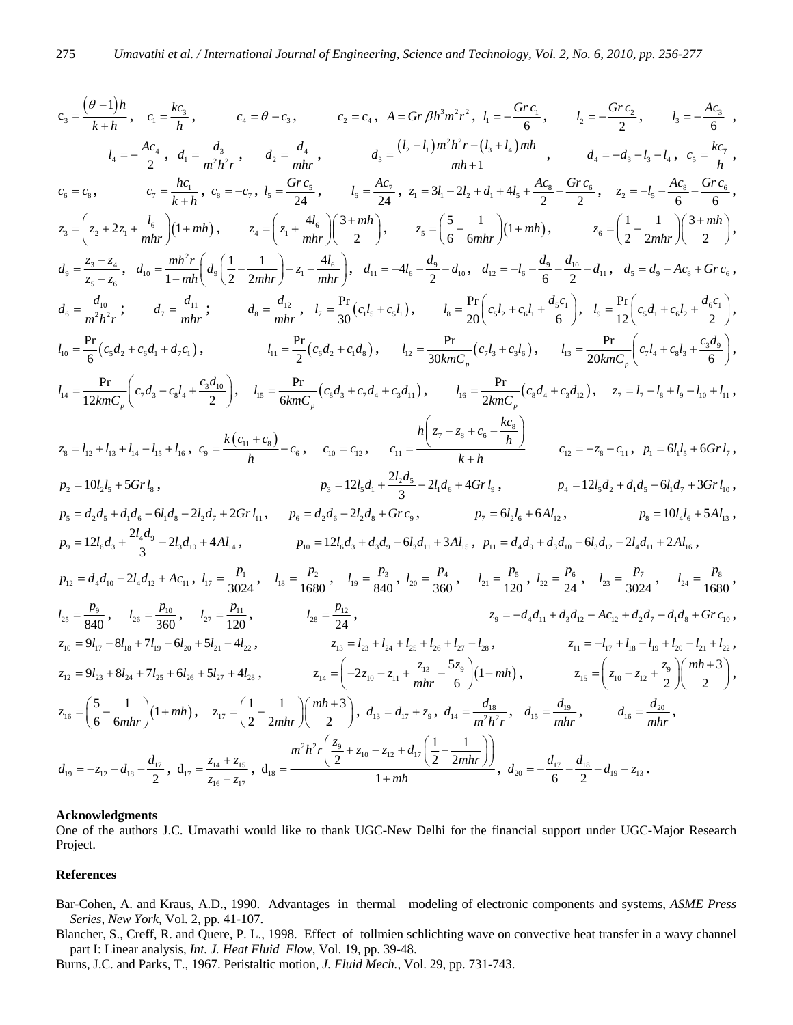$$
c_{3} = \frac{(\bar{\theta}-1)h}{k+h}, \quad c_{i} = \frac{kc_{i}}{h}, \quad c_{4} = \bar{\theta}-c_{3}, \quad c_{2} = c_{4}, \quad A = Gr\beta h^{3}m^{2}r^{2}, \quad l_{1} = -\frac{Grc_{i}}{6}, \quad l_{2} = -\frac{Grc_{2}}{2}, \quad l_{3} = -\frac{Ac_{3}}{6},
$$
  
\n
$$
l_{4} = -\frac{Ac_{2}}{2}, \quad d_{1} = \frac{d_{3}}{m^{2}h^{2}r}, \quad d_{2} = \frac{d_{4}}{mhr}, \quad d_{3} = \frac{(l_{2} - l_{1})m^{3}h^{2}r - (l_{3} + l_{4})mh}{mh + 1}, \quad d_{4} = -d_{3} - l_{3} - l_{4}, \quad c_{5} = \frac{kc_{5}}{h},
$$
  
\n
$$
c_{6} = c_{8}, \quad c_{7} = \frac{hc_{1}}{k+h}, \quad c_{8} = -c_{7}, \quad l_{3} = \frac{Grc_{5}}{24}, \quad l_{6} = \frac{Ac_{2}}{24}, \quad z_{4} = 3l_{1} - 2l_{2} + d_{4} + 4l_{3} + \frac{Ac_{2}}{2} = \frac{Grc_{6}}{2}, \quad z_{2} = -l_{5} - \frac{Ac_{6}}{6} + \frac{Grc_{6}}{6},
$$
  
\n
$$
z_{3} = \left(z_{4} + 2z_{4} + \frac{l_{6}}{mhr}\right)\left(1 + m\hbar\right), \quad z_{4} = \left(z_{4} + \frac{4l_{6}}{mhr}\right)\left(\frac{3 + mh}{2}\right), \quad z_{5} = \left(\frac{5}{6} - \frac{1}{6mhr}\right)\left(1 + m\hbar\right), \quad z_{6} = \left(\frac{1}{2} - \frac{1}{2mhr}\right)\left(\frac{3 + mh}{2}\right),
$$
  
\n
$$
d_{5} = \frac{z_{3} - z_{4}}{z_{5} - z_{6}}, \quad d_{10} = \frac{Br}{1 + mh} \left(d_{3}\left(\frac{1}{2} - \frac{1}{2mhr}\right) - z_{4} - \frac{4l_{5}}{2}\right), \quad l_{11} =
$$

## **Acknowledgments**

One of the authors J.C. Umavathi would like to thank UGC-New Delhi for the financial support under UGC-Major Research Project.

## **References**

- Bar-Cohen, A. and Kraus, A.D., 1990. Advantages in thermal modeling of electronic components and systems, *ASME Press Series, New York,* Vol. 2, pp. 41-107.
- Blancher, S., Creff, R. and Quere, P. L., 1998. Effect of tollmien schlichting wave on convective heat transfer in a wavy channel part I: Linear analysis, *Int. J. Heat Fluid Flow,* Vol. 19, pp. 39-48.
- Burns, J.C. and Parks, T., 1967. Peristaltic motion, *J. Fluid Mech.,* Vol. 29, pp. 731-743.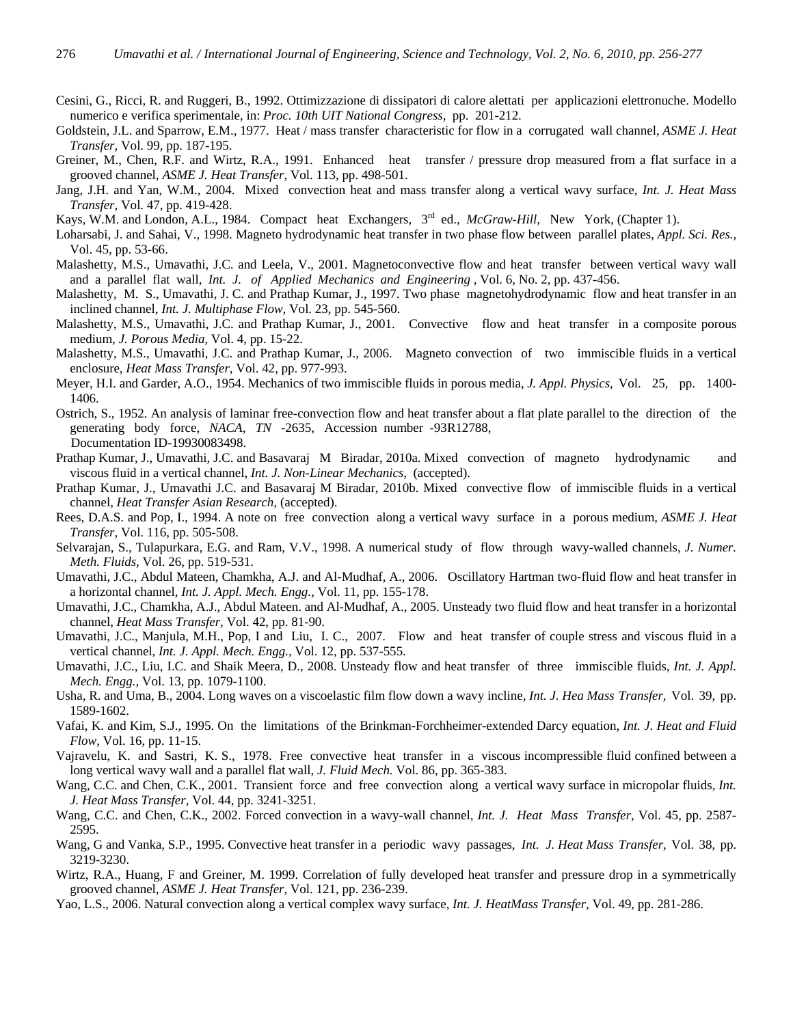- Cesini, G., Ricci, R. and Ruggeri, B., 1992. Ottimizzazione di dissipatori di calore alettati per applicazioni elettronuche. Modello numerico e verifica sperimentale, in: *Proc. 10th UIT National Congress,* pp. 201-212.
- Goldstein, J.L. and Sparrow, E.M., 1977. Heat / mass transfer characteristic for flow in a corrugated wall channel, *ASME J. Heat Transfer,* Vol. 99, pp. 187-195.
- Greiner, M., Chen, R.F. and Wirtz, R.A., 1991. Enhanced heat transfer / pressure drop measured from a flat surface in a grooved channel, *ASME J. Heat Transfer,* Vol. 113, pp. 498-501.
- Jang, J.H. and Yan, W.M., 2004. Mixed convection heat and mass transfer along a vertical wavy surface, *Int. J. Heat Mass Transfer,* Vol. 47, pp. 419-428.
- Kays, W.M. and London, A.L., 1984. Compact heat Exchangers, 3<sup>rd</sup> ed., *McGraw-Hill*, New York, (Chapter 1).
- Loharsabi, J. and Sahai, V., 1998. Magneto hydrodynamic heat transfer in two phase flow between parallel plates, *Appl. Sci. Res.,* Vol. 45, pp. 53-66.
- Malashetty, M.S., Umavathi, J.C. and Leela, V., 2001. Magnetoconvective flow and heat transfer between vertical wavy wall and a parallel flat wall, *Int. J. of Applied Mechanics and Engineering ,* Vol. 6, No. 2, pp. 437-456.
- Malashetty, M. S., Umavathi, J. C. and Prathap Kumar, J., 1997. Two phase magnetohydrodynamic flow and heat transfer in an inclined channel, *Int. J. Multiphase Flow,* Vol. 23, pp. 545-560.
- Malashetty, M.S., Umavathi, J.C. and Prathap Kumar, J., 2001. Convective flow and heat transfer in a composite porous medium, *J. Porous Media,* Vol. 4, pp. 15-22.
- Malashetty, M.S., Umavathi, J.C. and Prathap Kumar, J., 2006. Magneto convection of two immiscible fluids in a vertical enclosure, *Heat Mass Transfer,* Vol. 42, pp. 977-993.
- Meyer, H.I. and Garder, A.O., 1954. Mechanics of two immiscible fluids in porous media, *J. Appl. Physics,* Vol. 25, pp. 1400- 1406.
- Ostrich, S., 1952. An analysis of laminar free-convection flow and heat transfer about a flat plate parallel to the direction of the generating body force*, NACA, TN* -2635, Accession number -93R12788, Documentation ID-19930083498.
- Prathap Kumar, J., Umavathi, J.C. and Basavaraj M Biradar, 2010a. Mixed convection of magneto hydrodynamic and viscous fluid in a vertical channel, *Int. J. Non-Linear Mechanics,* (accepted).
- Prathap Kumar, J., Umavathi J.C. and Basavaraj M Biradar, 2010b. Mixed convective flow of immiscible fluids in a vertical channel, *Heat Transfer Asian Research,* (accepted).
- Rees, D.A.S. and Pop, I., 1994. A note on free convection along a vertical wavy surface in a porous medium, *ASME J. Heat Transfer,* Vol. 116, pp. 505-508.
- Selvarajan, S., Tulapurkara, E.G. and Ram, V.V., 1998. A numerical study of flow through wavy-walled channels, *J. Numer. Meth. Fluids,* Vol. 26, pp. 519-531.
- Umavathi, J.C., Abdul Mateen, Chamkha, A.J. and Al-Mudhaf, A., 2006. Oscillatory Hartman two-fluid flow and heat transfer in a horizontal channel, *Int. J. Appl. Mech. Engg.,* Vol. 11, pp. 155-178.
- Umavathi, J.C., Chamkha, A.J., Abdul Mateen. and Al-Mudhaf, A., 2005. Unsteady two fluid flow and heat transfer in a horizontal channel, *Heat Mass Transfer,* Vol. 42, pp. 81-90.
- Umavathi, J.C., Manjula, M.H., Pop, I and Liu, I. C., 2007. Flow and heat transfer of couple stress and viscous fluid in a vertical channel, *Int. J. Appl. Mech. Engg.,* Vol. 12, pp. 537-555.
- Umavathi, J.C., Liu, I.C. and Shaik Meera, D., 2008. Unsteady flow and heat transfer of three immiscible fluids, *Int. J. Appl. Mech. Engg.,* Vol. 13, pp. 1079-1100.
- Usha, R. and Uma, B., 2004. Long waves on a viscoelastic film flow down a wavy incline, *Int. J. Hea Mass Transfer,* Vol. 39, pp. 1589-1602.
- Vafai, K. and Kim, S.J., 1995. On the limitations of the Brinkman-Forchheimer-extended Darcy equation, *Int. J. Heat and Fluid Flow,* Vol. 16, pp. 11-15.
- Vajravelu, K. and Sastri, K. S., 1978. Free convective heat transfer in a viscous incompressible fluid confined between a long vertical wavy wall and a parallel flat wall, *J. Fluid Mech.* Vol. 86, pp. 365-383.
- Wang, C.C. and Chen, C.K., 2001. Transient force and free convection along a vertical wavy surface in micropolar fluids, *Int. J. Heat Mass Transfer,* Vol. 44, pp. 3241-3251.
- Wang, C.C. and Chen, C.K., 2002. Forced convection in a wavy-wall channel, *Int. J. Heat Mass Transfer,* Vol. 45, pp. 2587- 2595.
- Wang, G and Vanka, S.P., 1995. Convective heat transfer in a periodic wavy passages, *Int. J. Heat Mass Transfer,* Vol. 38, pp. 3219-3230.
- Wirtz, R.A., Huang, F and Greiner, M. 1999. Correlation of fully developed heat transfer and pressure drop in a symmetrically grooved channel, *ASME J. Heat Transfer,* Vol. 121, pp. 236-239.
- Yao, L.S., 2006. Natural convection along a vertical complex wavy surface, *Int. J. HeatMass Transfer,* Vol. 49, pp. 281-286.